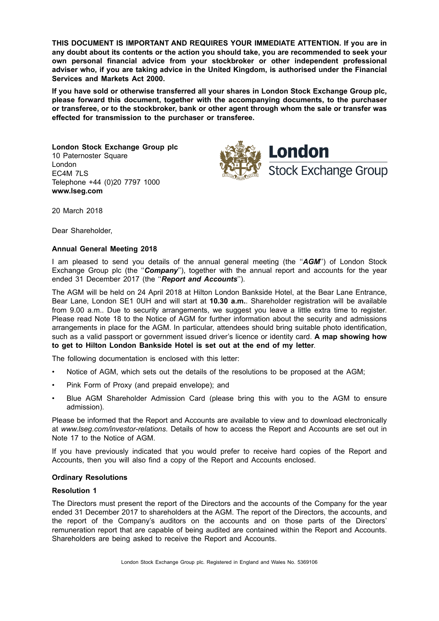**THIS DOCUMENT IS IMPORTANT AND REQUIRES YOUR IMMEDIATE ATTENTION. If you are in any doubt about its contents or the action you should take, you are recommended to seek your own personal financial advice from your stockbroker or other independent professional adviser who, if you are taking advice in the United Kingdom, is authorised under the Financial Services and Markets Act 2000.**

**If you have sold or otherwise transferred all your shares in London Stock Exchange Group plc, please forward this document, together with the accompanying documents, to the purchaser or transferee, or to the stockbroker, bank or other agent through whom the sale or transfer was effected for transmission to the purchaser or transferee.**

**London Stock Exchange Group plc** 10 Paternoster Square London EC4M 7LS Telephone +44 (0)20 7797 1000 **www.lseg.com**



20 March 2018

Dear Shareholder,

### **Annual General Meeting 2018**

I am pleased to send you details of the annual general meeting (the ''*AGM*'') of London Stock Exchange Group plc (the "**Company**"), together with the annual report and accounts for the year ended 31 December 2017 (the ''*Report and Accounts*'').

The AGM will be held on 24 April 2018 at Hilton London Bankside Hotel, at the Bear Lane Entrance, Bear Lane, London SE1 0UH and will start at **10.30 a.m.**. Shareholder registration will be available from 9.00 a.m.. Due to security arrangements, we suggest you leave a little extra time to register. Please read Note 18 to the Notice of AGM for further information about the security and admissions arrangements in place for the AGM. In particular, attendees should bring suitable photo identification, such as a valid passport or government issued driver's licence or identity card. **A map showing how to get to Hilton London Bankside Hotel is set out at the end of my letter**.

The following documentation is enclosed with this letter:

- Notice of AGM, which sets out the details of the resolutions to be proposed at the AGM;
- Pink Form of Proxy (and prepaid envelope); and
- Blue AGM Shareholder Admission Card (please bring this with you to the AGM to ensure admission).

Please be informed that the Report and Accounts are available to view and to download electronically at *www.lseg.com/investor-relations*. Details of how to access the Report and Accounts are set out in Note 17 to the Notice of AGM.

If you have previously indicated that you would prefer to receive hard copies of the Report and Accounts, then you will also find a copy of the Report and Accounts enclosed.

#### **Ordinary Resolutions**

### **Resolution 1**

The Directors must present the report of the Directors and the accounts of the Company for the year ended 31 December 2017 to shareholders at the AGM. The report of the Directors, the accounts, and the report of the Company's auditors on the accounts and on those parts of the Directors' remuneration report that are capable of being audited are contained within the Report and Accounts. Shareholders are being asked to receive the Report and Accounts.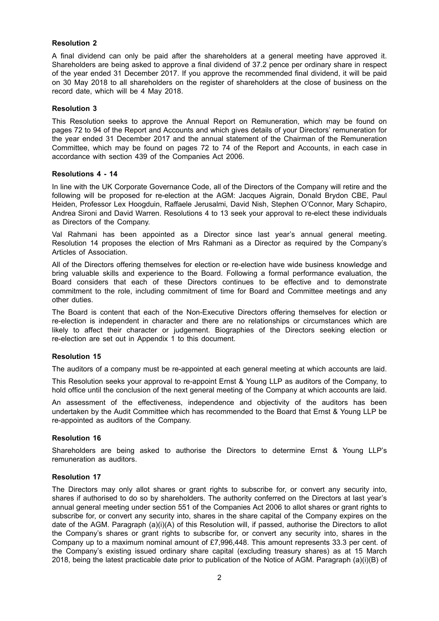## **Resolution 2**

A final dividend can only be paid after the shareholders at a general meeting have approved it. Shareholders are being asked to approve a final dividend of 37.2 pence per ordinary share in respect of the year ended 31 December 2017. If you approve the recommended final dividend, it will be paid on 30 May 2018 to all shareholders on the register of shareholders at the close of business on the record date, which will be 4 May 2018.

### **Resolution 3**

This Resolution seeks to approve the Annual Report on Remuneration, which may be found on pages 72 to 94 of the Report and Accounts and which gives details of your Directors' remuneration for the year ended 31 December 2017 and the annual statement of the Chairman of the Remuneration Committee, which may be found on pages 72 to 74 of the Report and Accounts, in each case in accordance with section 439 of the Companies Act 2006.

### **Resolutions 4 - 14**

In line with the UK Corporate Governance Code, all of the Directors of the Company will retire and the following will be proposed for re-election at the AGM: Jacques Aigrain, Donald Brydon CBE, Paul Heiden, Professor Lex Hoogduin, Raffaele Jerusalmi, David Nish, Stephen O'Connor, Mary Schapiro, Andrea Sironi and David Warren. Resolutions 4 to 13 seek your approval to re-elect these individuals as Directors of the Company.

Val Rahmani has been appointed as a Director since last year's annual general meeting. Resolution 14 proposes the election of Mrs Rahmani as a Director as required by the Company's Articles of Association.

All of the Directors offering themselves for election or re-election have wide business knowledge and bring valuable skills and experience to the Board. Following a formal performance evaluation, the Board considers that each of these Directors continues to be effective and to demonstrate commitment to the role, including commitment of time for Board and Committee meetings and any other duties.

The Board is content that each of the Non-Executive Directors offering themselves for election or re-election is independent in character and there are no relationships or circumstances which are likely to affect their character or judgement. Biographies of the Directors seeking election or re-election are set out in Appendix 1 to this document.

### **Resolution 15**

The auditors of a company must be re-appointed at each general meeting at which accounts are laid.

This Resolution seeks your approval to re-appoint Ernst & Young LLP as auditors of the Company, to hold office until the conclusion of the next general meeting of the Company at which accounts are laid.

An assessment of the effectiveness, independence and objectivity of the auditors has been undertaken by the Audit Committee which has recommended to the Board that Ernst & Young LLP be re-appointed as auditors of the Company.

### **Resolution 16**

Shareholders are being asked to authorise the Directors to determine Ernst & Young LLP's remuneration as auditors.

### **Resolution 17**

The Directors may only allot shares or grant rights to subscribe for, or convert any security into, shares if authorised to do so by shareholders. The authority conferred on the Directors at last year's annual general meeting under section 551 of the Companies Act 2006 to allot shares or grant rights to subscribe for, or convert any security into, shares in the share capital of the Company expires on the date of the AGM. Paragraph (a)(i)(A) of this Resolution will, if passed, authorise the Directors to allot the Company's shares or grant rights to subscribe for, or convert any security into, shares in the Company up to a maximum nominal amount of £7,996,448. This amount represents 33.3 per cent. of the Company's existing issued ordinary share capital (excluding treasury shares) as at 15 March 2018, being the latest practicable date prior to publication of the Notice of AGM. Paragraph (a)(i)(B) of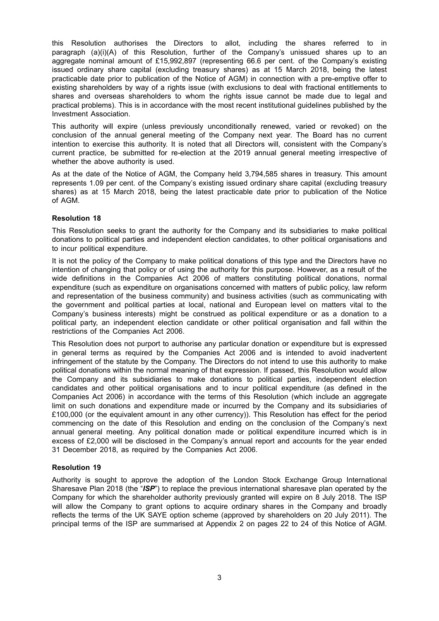this Resolution authorises the Directors to allot, including the shares referred to in paragraph (a)(i)(A) of this Resolution, further of the Company's unissued shares up to an aggregate nominal amount of £15,992,897 (representing 66.6 per cent. of the Company's existing issued ordinary share capital (excluding treasury shares) as at 15 March 2018, being the latest practicable date prior to publication of the Notice of AGM) in connection with a pre-emptive offer to existing shareholders by way of a rights issue (with exclusions to deal with fractional entitlements to shares and overseas shareholders to whom the rights issue cannot be made due to legal and practical problems). This is in accordance with the most recent institutional guidelines published by the Investment Association.

This authority will expire (unless previously unconditionally renewed, varied or revoked) on the conclusion of the annual general meeting of the Company next year. The Board has no current intention to exercise this authority. It is noted that all Directors will, consistent with the Company's current practice, be submitted for re-election at the 2019 annual general meeting irrespective of whether the above authority is used.

As at the date of the Notice of AGM, the Company held 3,794,585 shares in treasury. This amount represents 1.09 per cent. of the Company's existing issued ordinary share capital (excluding treasury shares) as at 15 March 2018, being the latest practicable date prior to publication of the Notice of AGM.

## **Resolution 18**

This Resolution seeks to grant the authority for the Company and its subsidiaries to make political donations to political parties and independent election candidates, to other political organisations and to incur political expenditure.

It is not the policy of the Company to make political donations of this type and the Directors have no intention of changing that policy or of using the authority for this purpose. However, as a result of the wide definitions in the Companies Act 2006 of matters constituting political donations, normal expenditure (such as expenditure on organisations concerned with matters of public policy, law reform and representation of the business community) and business activities (such as communicating with the government and political parties at local, national and European level on matters vital to the Company's business interests) might be construed as political expenditure or as a donation to a political party, an independent election candidate or other political organisation and fall within the restrictions of the Companies Act 2006.

This Resolution does not purport to authorise any particular donation or expenditure but is expressed in general terms as required by the Companies Act 2006 and is intended to avoid inadvertent infringement of the statute by the Company. The Directors do not intend to use this authority to make political donations within the normal meaning of that expression. If passed, this Resolution would allow the Company and its subsidiaries to make donations to political parties, independent election candidates and other political organisations and to incur political expenditure (as defined in the Companies Act 2006) in accordance with the terms of this Resolution (which include an aggregate limit on such donations and expenditure made or incurred by the Company and its subsidiaries of £100,000 (or the equivalent amount in any other currency)). This Resolution has effect for the period commencing on the date of this Resolution and ending on the conclusion of the Company's next annual general meeting. Any political donation made or political expenditure incurred which is in excess of £2,000 will be disclosed in the Company's annual report and accounts for the year ended 31 December 2018, as required by the Companies Act 2006.

## **Resolution 19**

Authority is sought to approve the adoption of the London Stock Exchange Group International Sharesave Plan 2018 (the "*ISP*") to replace the previous international sharesave plan operated by the Company for which the shareholder authority previously granted will expire on 8 July 2018. The ISP will allow the Company to grant options to acquire ordinary shares in the Company and broadly reflects the terms of the UK SAYE option scheme (approved by shareholders on 20 July 2011). The principal terms of the ISP are summarised at Appendix 2 on pages 22 to 24 of this Notice of AGM.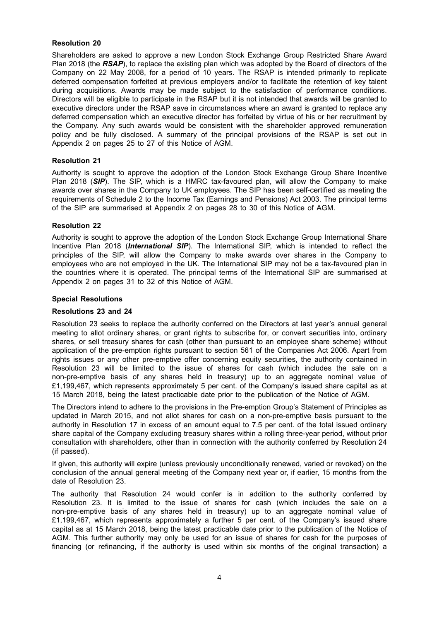## **Resolution 20**

Shareholders are asked to approve a new London Stock Exchange Group Restricted Share Award Plan 2018 (the *RSAP*), to replace the existing plan which was adopted by the Board of directors of the Company on 22 May 2008, for a period of 10 years. The RSAP is intended primarily to replicate deferred compensation forfeited at previous employers and/or to facilitate the retention of key talent during acquisitions. Awards may be made subject to the satisfaction of performance conditions. Directors will be eligible to participate in the RSAP but it is not intended that awards will be granted to executive directors under the RSAP save in circumstances where an award is granted to replace any deferred compensation which an executive director has forfeited by virtue of his or her recruitment by the Company. Any such awards would be consistent with the shareholder approved remuneration policy and be fully disclosed. A summary of the principal provisions of the RSAP is set out in Appendix 2 on pages 25 to 27 of this Notice of AGM.

## **Resolution 21**

Authority is sought to approve the adoption of the London Stock Exchange Group Share Incentive Plan 2018 (SIP). The SIP, which is a HMRC tax-favoured plan, will allow the Company to make awards over shares in the Company to UK employees. The SIP has been self-certified as meeting the requirements of Schedule 2 to the Income Tax (Earnings and Pensions) Act 2003. The principal terms of the SIP are summarised at Appendix 2 on pages 28 to 30 of this Notice of AGM.

### **Resolution 22**

Authority is sought to approve the adoption of the London Stock Exchange Group International Share Incentive Plan 2018 (*International SIP*). The International SIP, which is intended to reflect the principles of the SIP, will allow the Company to make awards over shares in the Company to employees who are not employed in the UK. The International SIP may not be a tax-favoured plan in the countries where it is operated. The principal terms of the International SIP are summarised at Appendix 2 on pages 31 to 32 of this Notice of AGM.

### **Special Resolutions**

### **Resolutions 23 and 24**

Resolution 23 seeks to replace the authority conferred on the Directors at last year's annual general meeting to allot ordinary shares, or grant rights to subscribe for, or convert securities into, ordinary shares, or sell treasury shares for cash (other than pursuant to an employee share scheme) without application of the pre-emption rights pursuant to section 561 of the Companies Act 2006. Apart from rights issues or any other pre-emptive offer concerning equity securities, the authority contained in Resolution 23 will be limited to the issue of shares for cash (which includes the sale on a non-pre-emptive basis of any shares held in treasury) up to an aggregate nominal value of £1,199,467, which represents approximately 5 per cent. of the Company's issued share capital as at 15 March 2018, being the latest practicable date prior to the publication of the Notice of AGM.

The Directors intend to adhere to the provisions in the Pre-emption Group's Statement of Principles as updated in March 2015, and not allot shares for cash on a non-pre-emptive basis pursuant to the authority in Resolution 17 in excess of an amount equal to 7.5 per cent. of the total issued ordinary share capital of the Company excluding treasury shares within a rolling three-year period, without prior consultation with shareholders, other than in connection with the authority conferred by Resolution 24 (if passed).

If given, this authority will expire (unless previously unconditionally renewed, varied or revoked) on the conclusion of the annual general meeting of the Company next year or, if earlier, 15 months from the date of Resolution 23.

The authority that Resolution 24 would confer is in addition to the authority conferred by Resolution 23. It is limited to the issue of shares for cash (which includes the sale on a non-pre-emptive basis of any shares held in treasury) up to an aggregate nominal value of £1,199,467, which represents approximately a further 5 per cent. of the Company's issued share capital as at 15 March 2018, being the latest practicable date prior to the publication of the Notice of AGM. This further authority may only be used for an issue of shares for cash for the purposes of financing (or refinancing, if the authority is used within six months of the original transaction) a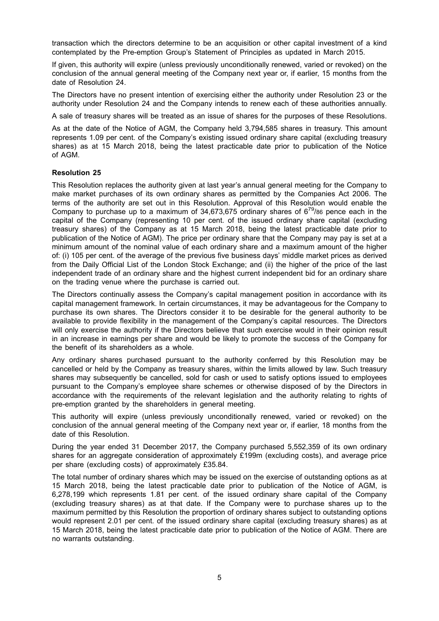transaction which the directors determine to be an acquisition or other capital investment of a kind contemplated by the Pre-emption Group's Statement of Principles as updated in March 2015.

If given, this authority will expire (unless previously unconditionally renewed, varied or revoked) on the conclusion of the annual general meeting of the Company next year or, if earlier, 15 months from the date of Resolution 24.

The Directors have no present intention of exercising either the authority under Resolution 23 or the authority under Resolution 24 and the Company intends to renew each of these authorities annually.

A sale of treasury shares will be treated as an issue of shares for the purposes of these Resolutions.

As at the date of the Notice of AGM, the Company held 3,794,585 shares in treasury. This amount represents 1.09 per cent. of the Company's existing issued ordinary share capital (excluding treasury shares) as at 15 March 2018, being the latest practicable date prior to publication of the Notice of AGM.

### **Resolution 25**

This Resolution replaces the authority given at last year's annual general meeting for the Company to make market purchases of its own ordinary shares as permitted by the Companies Act 2006. The terms of the authority are set out in this Resolution. Approval of this Resolution would enable the Company to purchase up to a maximum of 34,673,675 ordinary shares of  $6^{79}/86$  pence each in the capital of the Company (representing 10 per cent. of the issued ordinary share capital (excluding treasury shares) of the Company as at 15 March 2018, being the latest practicable date prior to publication of the Notice of AGM). The price per ordinary share that the Company may pay is set at a minimum amount of the nominal value of each ordinary share and a maximum amount of the higher of: (i) 105 per cent. of the average of the previous five business days' middle market prices as derived from the Daily Official List of the London Stock Exchange; and (ii) the higher of the price of the last independent trade of an ordinary share and the highest current independent bid for an ordinary share on the trading venue where the purchase is carried out.

The Directors continually assess the Company's capital management position in accordance with its capital management framework. In certain circumstances, it may be advantageous for the Company to purchase its own shares. The Directors consider it to be desirable for the general authority to be available to provide flexibility in the management of the Company's capital resources. The Directors will only exercise the authority if the Directors believe that such exercise would in their opinion result in an increase in earnings per share and would be likely to promote the success of the Company for the benefit of its shareholders as a whole.

Any ordinary shares purchased pursuant to the authority conferred by this Resolution may be cancelled or held by the Company as treasury shares, within the limits allowed by law. Such treasury shares may subsequently be cancelled, sold for cash or used to satisfy options issued to employees pursuant to the Company's employee share schemes or otherwise disposed of by the Directors in accordance with the requirements of the relevant legislation and the authority relating to rights of pre-emption granted by the shareholders in general meeting.

This authority will expire (unless previously unconditionally renewed, varied or revoked) on the conclusion of the annual general meeting of the Company next year or, if earlier, 18 months from the date of this Resolution.

During the year ended 31 December 2017, the Company purchased 5,552,359 of its own ordinary shares for an aggregate consideration of approximately £199m (excluding costs), and average price per share (excluding costs) of approximately £35.84.

The total number of ordinary shares which may be issued on the exercise of outstanding options as at 15 March 2018, being the latest practicable date prior to publication of the Notice of AGM, is 6,278,199 which represents 1.81 per cent. of the issued ordinary share capital of the Company (excluding treasury shares) as at that date. If the Company were to purchase shares up to the maximum permitted by this Resolution the proportion of ordinary shares subject to outstanding options would represent 2.01 per cent. of the issued ordinary share capital (excluding treasury shares) as at 15 March 2018, being the latest practicable date prior to publication of the Notice of AGM. There are no warrants outstanding.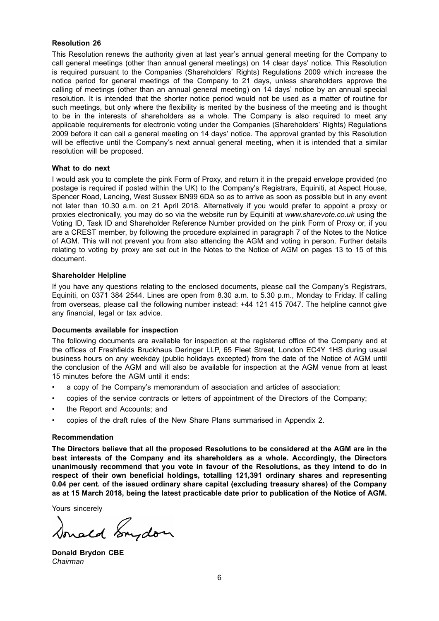### **Resolution 26**

This Resolution renews the authority given at last year's annual general meeting for the Company to call general meetings (other than annual general meetings) on 14 clear days' notice. This Resolution is required pursuant to the Companies (Shareholders' Rights) Regulations 2009 which increase the notice period for general meetings of the Company to 21 days, unless shareholders approve the calling of meetings (other than an annual general meeting) on 14 days' notice by an annual special resolution. It is intended that the shorter notice period would not be used as a matter of routine for such meetings, but only where the flexibility is merited by the business of the meeting and is thought to be in the interests of shareholders as a whole. The Company is also required to meet any applicable requirements for electronic voting under the Companies (Shareholders' Rights) Regulations 2009 before it can call a general meeting on 14 days' notice. The approval granted by this Resolution will be effective until the Company's next annual general meeting, when it is intended that a similar resolution will be proposed.

### **What to do next**

I would ask you to complete the pink Form of Proxy, and return it in the prepaid envelope provided (no postage is required if posted within the UK) to the Company's Registrars, Equiniti, at Aspect House, Spencer Road, Lancing, West Sussex BN99 6DA so as to arrive as soon as possible but in any event not later than 10.30 a.m. on 21 April 2018. Alternatively if you would prefer to appoint a proxy or proxies electronically, you may do so via the website run by Equiniti at *www.sharevote.co.uk* using the Voting ID, Task ID and Shareholder Reference Number provided on the pink Form of Proxy or, if you are a CREST member, by following the procedure explained in paragraph 7 of the Notes to the Notice of AGM. This will not prevent you from also attending the AGM and voting in person. Further details relating to voting by proxy are set out in the Notes to the Notice of AGM on pages 13 to 15 of this document.

### **Shareholder Helpline**

If you have any questions relating to the enclosed documents, please call the Company's Registrars, Equiniti, on 0371 384 2544. Lines are open from 8.30 a.m. to 5.30 p.m., Monday to Friday. If calling from overseas, please call the following number instead: +44 121 415 7047. The helpline cannot give any financial, legal or tax advice.

## **Documents available for inspection**

The following documents are available for inspection at the registered office of the Company and at the offices of Freshfields Bruckhaus Deringer LLP, 65 Fleet Street, London EC4Y 1HS during usual business hours on any weekday (public holidays excepted) from the date of the Notice of AGM until the conclusion of the AGM and will also be available for inspection at the AGM venue from at least 15 minutes before the AGM until it ends:

- a copy of the Company's memorandum of association and articles of association;
- copies of the service contracts or letters of appointment of the Directors of the Company;
- the Report and Accounts; and
- copies of the draft rules of the New Share Plans summarised in Appendix 2.

### **Recommendation**

**The Directors believe that all the proposed Resolutions to be considered at the AGM are in the best interests of the Company and its shareholders as a whole. Accordingly, the Directors unanimously recommend that you vote in favour of the Resolutions, as they intend to do in respect of their own beneficial holdings, totalling 121,391 ordinary shares and representing 0.04 per cent. of the issued ordinary share capital (excluding treasury shares) of the Company as at 15 March 2018, being the latest practicable date prior to publication of the Notice of AGM.**

Yours sincerely

Sonald Engdom

**Donald Brydon CBE** *Chairman*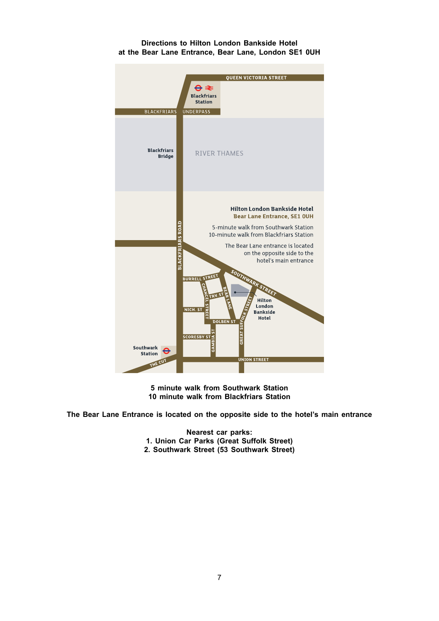### **Directions to Hilton London Bankside Hotel at the Bear Lane Entrance, Bear Lane, London SE1 0UH**



**5 minute walk from Southwark Station 10 minute walk from Blackfriars Station**

**The Bear Lane Entrance is located on the opposite side to the hotel's main entrance**

**Nearest car parks: 1. Union Car Parks (Great Suffolk Street) 2. Southwark Street (53 Southwark Street)**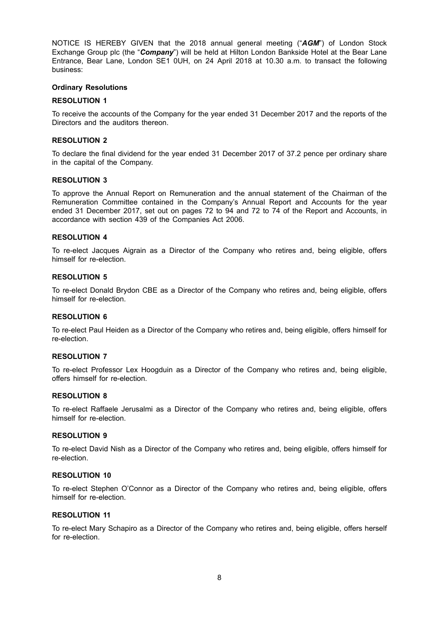NOTICE IS HEREBY GIVEN that the 2018 annual general meeting ("*AGM*") of London Stock Exchange Group plc (the "*Company*") will be held at Hilton London Bankside Hotel at the Bear Lane Entrance, Bear Lane, London SE1 0UH, on 24 April 2018 at 10.30 a.m. to transact the following business:

### **Ordinary Resolutions**

### **RESOLUTION 1**

To receive the accounts of the Company for the year ended 31 December 2017 and the reports of the Directors and the auditors thereon.

### **RESOLUTION 2**

To declare the final dividend for the year ended 31 December 2017 of 37.2 pence per ordinary share in the capital of the Company.

### **RESOLUTION 3**

To approve the Annual Report on Remuneration and the annual statement of the Chairman of the Remuneration Committee contained in the Company's Annual Report and Accounts for the year ended 31 December 2017, set out on pages 72 to 94 and 72 to 74 of the Report and Accounts, in accordance with section 439 of the Companies Act 2006.

## **RESOLUTION 4**

To re-elect Jacques Aigrain as a Director of the Company who retires and, being eligible, offers himself for re-election.

### **RESOLUTION 5**

To re-elect Donald Brydon CBE as a Director of the Company who retires and, being eligible, offers himself for re-election.

### **RESOLUTION 6**

To re-elect Paul Heiden as a Director of the Company who retires and, being eligible, offers himself for re-election.

### **RESOLUTION 7**

To re-elect Professor Lex Hoogduin as a Director of the Company who retires and, being eligible, offers himself for re-election.

### **RESOLUTION 8**

To re-elect Raffaele Jerusalmi as a Director of the Company who retires and, being eligible, offers himself for re-election.

### **RESOLUTION 9**

To re-elect David Nish as a Director of the Company who retires and, being eligible, offers himself for re-election.

# **RESOLUTION 10**

To re-elect Stephen O'Connor as a Director of the Company who retires and, being eligible, offers himself for re-election.

## **RESOLUTION 11**

To re-elect Mary Schapiro as a Director of the Company who retires and, being eligible, offers herself for re-election.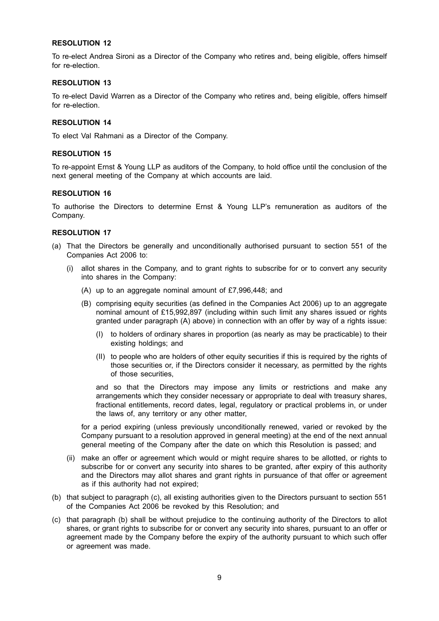## **RESOLUTION 12**

To re-elect Andrea Sironi as a Director of the Company who retires and, being eligible, offers himself for re-election.

### **RESOLUTION 13**

To re-elect David Warren as a Director of the Company who retires and, being eligible, offers himself for re-election.

### **RESOLUTION 14**

To elect Val Rahmani as a Director of the Company.

#### **RESOLUTION 15**

To re-appoint Ernst & Young LLP as auditors of the Company, to hold office until the conclusion of the next general meeting of the Company at which accounts are laid.

### **RESOLUTION 16**

To authorise the Directors to determine Ernst & Young LLP's remuneration as auditors of the Company.

### **RESOLUTION 17**

- (a) That the Directors be generally and unconditionally authorised pursuant to section 551 of the Companies Act 2006 to:
	- (i) allot shares in the Company, and to grant rights to subscribe for or to convert any security into shares in the Company:
		- (A) up to an aggregate nominal amount of £7,996,448; and
		- (B) comprising equity securities (as defined in the Companies Act 2006) up to an aggregate nominal amount of £15,992,897 (including within such limit any shares issued or rights granted under paragraph (A) above) in connection with an offer by way of a rights issue:
			- (I) to holders of ordinary shares in proportion (as nearly as may be practicable) to their existing holdings; and
			- (II) to people who are holders of other equity securities if this is required by the rights of those securities or, if the Directors consider it necessary, as permitted by the rights of those securities,

and so that the Directors may impose any limits or restrictions and make any arrangements which they consider necessary or appropriate to deal with treasury shares, fractional entitlements, record dates, legal, regulatory or practical problems in, or under the laws of, any territory or any other matter,

for a period expiring (unless previously unconditionally renewed, varied or revoked by the Company pursuant to a resolution approved in general meeting) at the end of the next annual general meeting of the Company after the date on which this Resolution is passed; and

- (ii) make an offer or agreement which would or might require shares to be allotted, or rights to subscribe for or convert any security into shares to be granted, after expiry of this authority and the Directors may allot shares and grant rights in pursuance of that offer or agreement as if this authority had not expired;
- (b) that subject to paragraph (c), all existing authorities given to the Directors pursuant to section 551 of the Companies Act 2006 be revoked by this Resolution; and
- (c) that paragraph (b) shall be without prejudice to the continuing authority of the Directors to allot shares, or grant rights to subscribe for or convert any security into shares, pursuant to an offer or agreement made by the Company before the expiry of the authority pursuant to which such offer or agreement was made.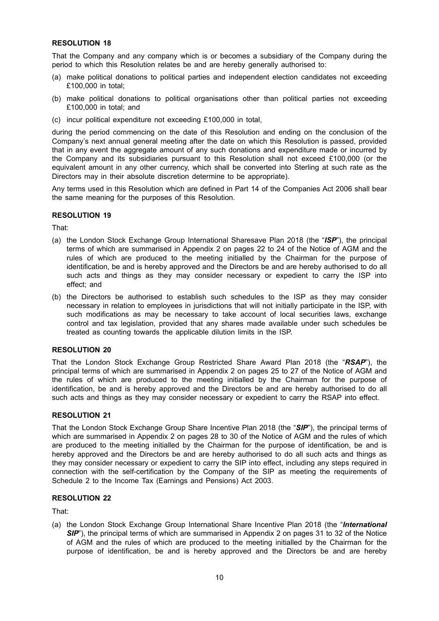# **RESOLUTION 18**

That the Company and any company which is or becomes a subsidiary of the Company during the period to which this Resolution relates be and are hereby generally authorised to:

- (a) make political donations to political parties and independent election candidates not exceeding £100,000 in total;
- (b) make political donations to political organisations other than political parties not exceeding £100,000 in total; and
- (c) incur political expenditure not exceeding £100,000 in total,

during the period commencing on the date of this Resolution and ending on the conclusion of the Company's next annual general meeting after the date on which this Resolution is passed, provided that in any event the aggregate amount of any such donations and expenditure made or incurred by the Company and its subsidiaries pursuant to this Resolution shall not exceed £100,000 (or the equivalent amount in any other currency, which shall be converted into Sterling at such rate as the Directors may in their absolute discretion determine to be appropriate).

Any terms used in this Resolution which are defined in Part 14 of the Companies Act 2006 shall bear the same meaning for the purposes of this Resolution.

### **RESOLUTION 19**

That:

- (a) the London Stock Exchange Group International Sharesave Plan 2018 (the "*ISP*"), the principal terms of which are summarised in Appendix 2 on pages 22 to 24 of the Notice of AGM and the rules of which are produced to the meeting initialled by the Chairman for the purpose of identification, be and is hereby approved and the Directors be and are hereby authorised to do all such acts and things as they may consider necessary or expedient to carry the ISP into effect; and
- (b) the Directors be authorised to establish such schedules to the ISP as they may consider necessary in relation to employees in jurisdictions that will not initially participate in the ISP, with such modifications as may be necessary to take account of local securities laws, exchange control and tax legislation, provided that any shares made available under such schedules be treated as counting towards the applicable dilution limits in the ISP.

## **RESOLUTION 20**

That the London Stock Exchange Group Restricted Share Award Plan 2018 (the "*RSAP*"), the principal terms of which are summarised in Appendix 2 on pages 25 to 27 of the Notice of AGM and the rules of which are produced to the meeting initialled by the Chairman for the purpose of identification, be and is hereby approved and the Directors be and are hereby authorised to do all such acts and things as they may consider necessary or expedient to carry the RSAP into effect.

### **RESOLUTION 21**

That the London Stock Exchange Group Share Incentive Plan 2018 (the "*SIP*"), the principal terms of which are summarised in Appendix 2 on pages 28 to 30 of the Notice of AGM and the rules of which are produced to the meeting initialled by the Chairman for the purpose of identification, be and is hereby approved and the Directors be and are hereby authorised to do all such acts and things as they may consider necessary or expedient to carry the SIP into effect, including any steps required in connection with the self-certification by the Company of the SIP as meeting the requirements of Schedule 2 to the Income Tax (Earnings and Pensions) Act 2003.

### **RESOLUTION 22**

That:

(a) the London Stock Exchange Group International Share Incentive Plan 2018 (the "*International* **SIP**"), the principal terms of which are summarised in Appendix 2 on pages 31 to 32 of the Notice of AGM and the rules of which are produced to the meeting initialled by the Chairman for the purpose of identification, be and is hereby approved and the Directors be and are hereby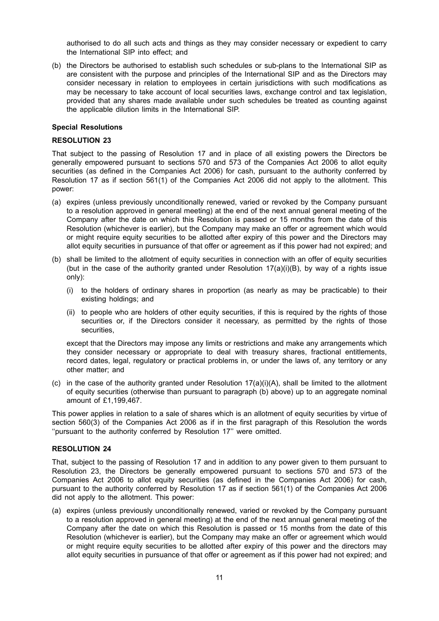authorised to do all such acts and things as they may consider necessary or expedient to carry the International SIP into effect; and

(b) the Directors be authorised to establish such schedules or sub-plans to the International SIP as are consistent with the purpose and principles of the International SIP and as the Directors may consider necessary in relation to employees in certain jurisdictions with such modifications as may be necessary to take account of local securities laws, exchange control and tax legislation, provided that any shares made available under such schedules be treated as counting against the applicable dilution limits in the International SIP.

### **Special Resolutions**

### **RESOLUTION 23**

That subject to the passing of Resolution 17 and in place of all existing powers the Directors be generally empowered pursuant to sections 570 and 573 of the Companies Act 2006 to allot equity securities (as defined in the Companies Act 2006) for cash, pursuant to the authority conferred by Resolution 17 as if section 561(1) of the Companies Act 2006 did not apply to the allotment. This power:

- (a) expires (unless previously unconditionally renewed, varied or revoked by the Company pursuant to a resolution approved in general meeting) at the end of the next annual general meeting of the Company after the date on which this Resolution is passed or 15 months from the date of this Resolution (whichever is earlier), but the Company may make an offer or agreement which would or might require equity securities to be allotted after expiry of this power and the Directors may allot equity securities in pursuance of that offer or agreement as if this power had not expired; and
- (b) shall be limited to the allotment of equity securities in connection with an offer of equity securities (but in the case of the authority granted under Resolution  $17(a)(i)(B)$ , by way of a rights issue only):
	- (i) to the holders of ordinary shares in proportion (as nearly as may be practicable) to their existing holdings; and
	- (ii) to people who are holders of other equity securities, if this is required by the rights of those securities or, if the Directors consider it necessary, as permitted by the rights of those securities,

except that the Directors may impose any limits or restrictions and make any arrangements which they consider necessary or appropriate to deal with treasury shares, fractional entitlements, record dates, legal, regulatory or practical problems in, or under the laws of, any territory or any other matter; and

(c) in the case of the authority granted under Resolution  $17(a)(i)(A)$ , shall be limited to the allotment of equity securities (otherwise than pursuant to paragraph (b) above) up to an aggregate nominal amount of £1,199,467.

This power applies in relation to a sale of shares which is an allotment of equity securities by virtue of section 560(3) of the Companies Act 2006 as if in the first paragraph of this Resolution the words ''pursuant to the authority conferred by Resolution 17'' were omitted.

### **RESOLUTION 24**

That, subject to the passing of Resolution 17 and in addition to any power given to them pursuant to Resolution 23, the Directors be generally empowered pursuant to sections 570 and 573 of the Companies Act 2006 to allot equity securities (as defined in the Companies Act 2006) for cash, pursuant to the authority conferred by Resolution 17 as if section 561(1) of the Companies Act 2006 did not apply to the allotment. This power:

(a) expires (unless previously unconditionally renewed, varied or revoked by the Company pursuant to a resolution approved in general meeting) at the end of the next annual general meeting of the Company after the date on which this Resolution is passed or 15 months from the date of this Resolution (whichever is earlier), but the Company may make an offer or agreement which would or might require equity securities to be allotted after expiry of this power and the directors may allot equity securities in pursuance of that offer or agreement as if this power had not expired; and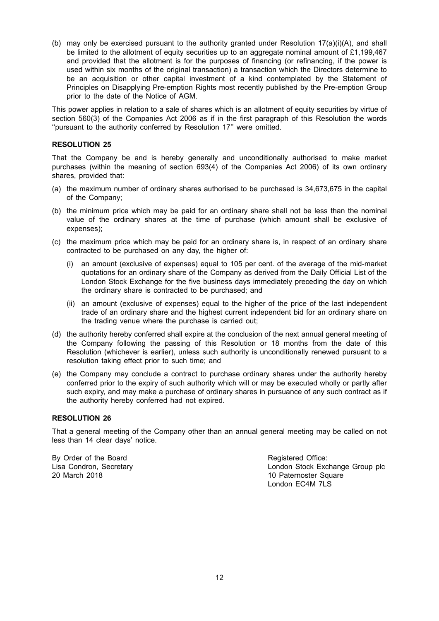(b) may only be exercised pursuant to the authority granted under Resolution  $17(a)(i)(A)$ , and shall be limited to the allotment of equity securities up to an aggregate nominal amount of £1,199,467 and provided that the allotment is for the purposes of financing (or refinancing, if the power is used within six months of the original transaction) a transaction which the Directors determine to be an acquisition or other capital investment of a kind contemplated by the Statement of Principles on Disapplying Pre-emption Rights most recently published by the Pre-emption Group prior to the date of the Notice of AGM.

This power applies in relation to a sale of shares which is an allotment of equity securities by virtue of section 560(3) of the Companies Act 2006 as if in the first paragraph of this Resolution the words ''pursuant to the authority conferred by Resolution 17'' were omitted.

## **RESOLUTION 25**

That the Company be and is hereby generally and unconditionally authorised to make market purchases (within the meaning of section 693(4) of the Companies Act 2006) of its own ordinary shares, provided that:

- (a) the maximum number of ordinary shares authorised to be purchased is 34,673,675 in the capital of the Company;
- (b) the minimum price which may be paid for an ordinary share shall not be less than the nominal value of the ordinary shares at the time of purchase (which amount shall be exclusive of expenses);
- (c) the maximum price which may be paid for an ordinary share is, in respect of an ordinary share contracted to be purchased on any day, the higher of:
	- (i) an amount (exclusive of expenses) equal to 105 per cent. of the average of the mid-market quotations for an ordinary share of the Company as derived from the Daily Official List of the London Stock Exchange for the five business days immediately preceding the day on which the ordinary share is contracted to be purchased; and
	- (ii) an amount (exclusive of expenses) equal to the higher of the price of the last independent trade of an ordinary share and the highest current independent bid for an ordinary share on the trading venue where the purchase is carried out;
- (d) the authority hereby conferred shall expire at the conclusion of the next annual general meeting of the Company following the passing of this Resolution or 18 months from the date of this Resolution (whichever is earlier), unless such authority is unconditionally renewed pursuant to a resolution taking effect prior to such time; and
- (e) the Company may conclude a contract to purchase ordinary shares under the authority hereby conferred prior to the expiry of such authority which will or may be executed wholly or partly after such expiry, and may make a purchase of ordinary shares in pursuance of any such contract as if the authority hereby conferred had not expired.

### **RESOLUTION 26**

That a general meeting of the Company other than an annual general meeting may be called on not less than 14 clear days' notice.

By Order of the Board **Registered Office:** Registered Office:

Lisa Condron, Secretary **Lisa Condron, Secretary London Stock Exchange Group plc**<br>
20 March 2018 10 Paternoster Square London EC4M 7LS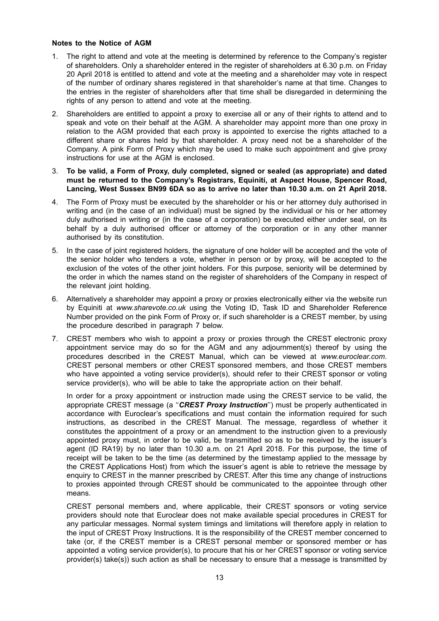### **Notes to the Notice of AGM**

- 1. The right to attend and vote at the meeting is determined by reference to the Company's register of shareholders. Only a shareholder entered in the register of shareholders at 6.30 p.m. on Friday 20 April 2018 is entitled to attend and vote at the meeting and a shareholder may vote in respect of the number of ordinary shares registered in that shareholder's name at that time. Changes to the entries in the register of shareholders after that time shall be disregarded in determining the rights of any person to attend and vote at the meeting.
- 2. Shareholders are entitled to appoint a proxy to exercise all or any of their rights to attend and to speak and vote on their behalf at the AGM. A shareholder may appoint more than one proxy in relation to the AGM provided that each proxy is appointed to exercise the rights attached to a different share or shares held by that shareholder. A proxy need not be a shareholder of the Company. A pink Form of Proxy which may be used to make such appointment and give proxy instructions for use at the AGM is enclosed.
- 3. **To be valid, a Form of Proxy, duly completed, signed or sealed (as appropriate) and dated must be returned to the Company's Registrars, Equiniti, at Aspect House, Spencer Road, Lancing, West Sussex BN99 6DA so as to arrive no later than 10.30 a.m. on 21 April 2018.**
- 4. The Form of Proxy must be executed by the shareholder or his or her attorney duly authorised in writing and (in the case of an individual) must be signed by the individual or his or her attorney duly authorised in writing or (in the case of a corporation) be executed either under seal, on its behalf by a duly authorised officer or attorney of the corporation or in any other manner authorised by its constitution.
- 5. In the case of joint registered holders, the signature of one holder will be accepted and the vote of the senior holder who tenders a vote, whether in person or by proxy, will be accepted to the exclusion of the votes of the other joint holders. For this purpose, seniority will be determined by the order in which the names stand on the register of shareholders of the Company in respect of the relevant joint holding.
- 6. Alternatively a shareholder may appoint a proxy or proxies electronically either via the website run by Equiniti at *www.sharevote.co.uk* using the Voting ID, Task ID and Shareholder Reference Number provided on the pink Form of Proxy or, if such shareholder is a CREST member, by using the procedure described in paragraph 7 below.
- 7. CREST members who wish to appoint a proxy or proxies through the CREST electronic proxy appointment service may do so for the AGM and any adjournment(s) thereof by using the procedures described in the CREST Manual, which can be viewed at *www.euroclear.com*. CREST personal members or other CREST sponsored members, and those CREST members who have appointed a voting service provider(s), should refer to their CREST sponsor or voting service provider(s), who will be able to take the appropriate action on their behalf.

In order for a proxy appointment or instruction made using the CREST service to be valid, the appropriate CREST message (a ''*CREST Proxy Instruction*'') must be properly authenticated in accordance with Euroclear's specifications and must contain the information required for such instructions, as described in the CREST Manual. The message, regardless of whether it constitutes the appointment of a proxy or an amendment to the instruction given to a previously appointed proxy must, in order to be valid, be transmitted so as to be received by the issuer's agent (ID RA19) by no later than 10.30 a.m. on 21 April 2018. For this purpose, the time of receipt will be taken to be the time (as determined by the timestamp applied to the message by the CREST Applications Host) from which the issuer's agent is able to retrieve the message by enquiry to CREST in the manner prescribed by CREST. After this time any change of instructions to proxies appointed through CREST should be communicated to the appointee through other means.

CREST personal members and, where applicable, their CREST sponsors or voting service providers should note that Euroclear does not make available special procedures in CREST for any particular messages. Normal system timings and limitations will therefore apply in relation to the input of CREST Proxy Instructions. It is the responsibility of the CREST member concerned to take (or, if the CREST member is a CREST personal member or sponsored member or has appointed a voting service provider(s), to procure that his or her CREST sponsor or voting service provider(s) take(s)) such action as shall be necessary to ensure that a message is transmitted by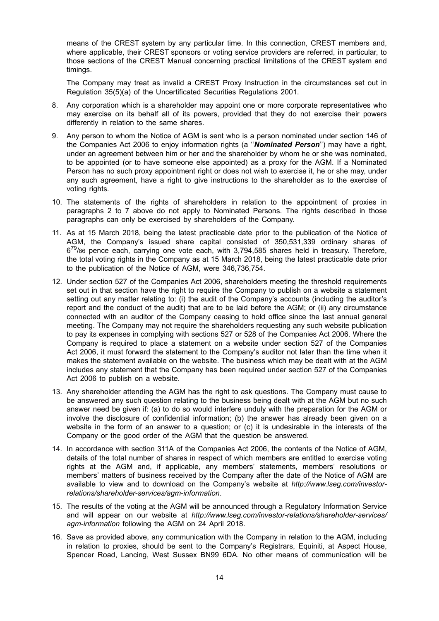means of the CREST system by any particular time. In this connection, CREST members and, where applicable, their CREST sponsors or voting service providers are referred, in particular, to those sections of the CREST Manual concerning practical limitations of the CREST system and timings.

The Company may treat as invalid a CREST Proxy Instruction in the circumstances set out in Regulation 35(5)(a) of the Uncertificated Securities Regulations 2001.

- 8. Any corporation which is a shareholder may appoint one or more corporate representatives who may exercise on its behalf all of its powers, provided that they do not exercise their powers differently in relation to the same shares.
- 9. Any person to whom the Notice of AGM is sent who is a person nominated under section 146 of the Companies Act 2006 to enjoy information rights (a ''*Nominated Person*'') may have a right, under an agreement between him or her and the shareholder by whom he or she was nominated, to be appointed (or to have someone else appointed) as a proxy for the AGM. If a Nominated Person has no such proxy appointment right or does not wish to exercise it, he or she may, under any such agreement, have a right to give instructions to the shareholder as to the exercise of voting rights.
- 10. The statements of the rights of shareholders in relation to the appointment of proxies in paragraphs 2 to 7 above do not apply to Nominated Persons. The rights described in those paragraphs can only be exercised by shareholders of the Company.
- 11. As at 15 March 2018, being the latest practicable date prior to the publication of the Notice of AGM, the Company's issued share capital consisted of 350,531,339 ordinary shares of  $6^{79}$ /86 pence each, carrying one vote each, with 3,794,585 shares held in treasury. Therefore, the total voting rights in the Company as at 15 March 2018, being the latest practicable date prior to the publication of the Notice of AGM, were 346,736,754.
- 12. Under section 527 of the Companies Act 2006, shareholders meeting the threshold requirements set out in that section have the right to require the Company to publish on a website a statement setting out any matter relating to: (i) the audit of the Company's accounts (including the auditor's report and the conduct of the audit) that are to be laid before the AGM; or (ii) any circumstance connected with an auditor of the Company ceasing to hold office since the last annual general meeting. The Company may not require the shareholders requesting any such website publication to pay its expenses in complying with sections 527 or 528 of the Companies Act 2006. Where the Company is required to place a statement on a website under section 527 of the Companies Act 2006, it must forward the statement to the Company's auditor not later than the time when it makes the statement available on the website. The business which may be dealt with at the AGM includes any statement that the Company has been required under section 527 of the Companies Act 2006 to publish on a website.
- 13. Any shareholder attending the AGM has the right to ask questions. The Company must cause to be answered any such question relating to the business being dealt with at the AGM but no such answer need be given if: (a) to do so would interfere unduly with the preparation for the AGM or involve the disclosure of confidential information; (b) the answer has already been given on a website in the form of an answer to a question; or (c) it is undesirable in the interests of the Company or the good order of the AGM that the question be answered.
- 14. In accordance with section 311A of the Companies Act 2006, the contents of the Notice of AGM, details of the total number of shares in respect of which members are entitled to exercise voting rights at the AGM and, if applicable, any members' statements, members' resolutions or members' matters of business received by the Company after the date of the Notice of AGM are available to view and to download on the Company's website at *http://www.lseg.com/investorrelations/shareholder-services/agm-information*.
- 15. The results of the voting at the AGM will be announced through a Regulatory Information Service and will appear on our website at *http://www.lseg.com/investor-relations/shareholder-services/ agm-information* following the AGM on 24 April 2018.
- 16. Save as provided above, any communication with the Company in relation to the AGM, including in relation to proxies, should be sent to the Company's Registrars, Equiniti, at Aspect House, Spencer Road, Lancing, West Sussex BN99 6DA. No other means of communication will be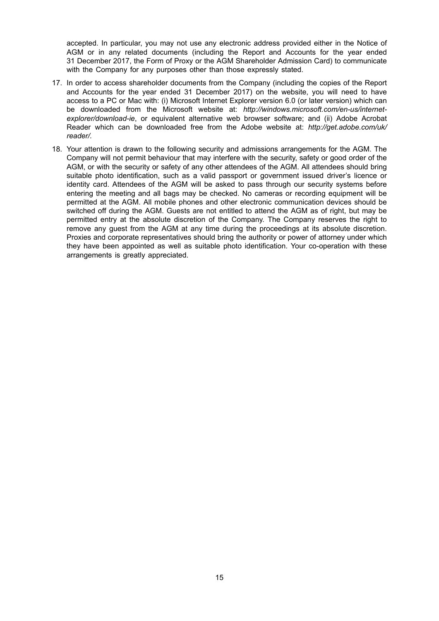accepted. In particular, you may not use any electronic address provided either in the Notice of AGM or in any related documents (including the Report and Accounts for the year ended 31 December 2017, the Form of Proxy or the AGM Shareholder Admission Card) to communicate with the Company for any purposes other than those expressly stated.

- 17. In order to access shareholder documents from the Company (including the copies of the Report and Accounts for the year ended 31 December 2017) on the website, you will need to have access to a PC or Mac with: (i) Microsoft Internet Explorer version 6.0 (or later version) which can be downloaded from the Microsoft website at: *http://windows.microsoft.com/en-us/internetexplorer/download-ie*, or equivalent alternative web browser software; and (ii) Adobe Acrobat Reader which can be downloaded free from the Adobe website at: *http://get.adobe.com/uk/ reader/.*
- 18. Your attention is drawn to the following security and admissions arrangements for the AGM. The Company will not permit behaviour that may interfere with the security, safety or good order of the AGM, or with the security or safety of any other attendees of the AGM. All attendees should bring suitable photo identification, such as a valid passport or government issued driver's licence or identity card. Attendees of the AGM will be asked to pass through our security systems before entering the meeting and all bags may be checked. No cameras or recording equipment will be permitted at the AGM. All mobile phones and other electronic communication devices should be switched off during the AGM. Guests are not entitled to attend the AGM as of right, but may be permitted entry at the absolute discretion of the Company. The Company reserves the right to remove any guest from the AGM at any time during the proceedings at its absolute discretion. Proxies and corporate representatives should bring the authority or power of attorney under which they have been appointed as well as suitable photo identification. Your co-operation with these arrangements is greatly appreciated.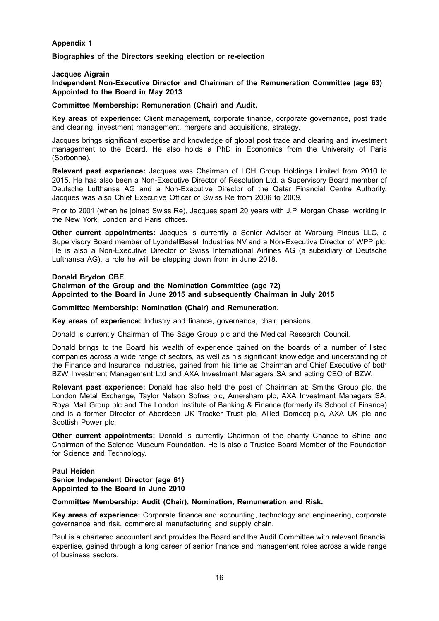## **Appendix 1**

**Biographies of the Directors seeking election or re-election**

### **Jacques Aigrain**

**Independent Non-Executive Director and Chairman of the Remuneration Committee (age 63) Appointed to the Board in May 2013**

#### **Committee Membership: Remuneration (Chair) and Audit.**

**Key areas of experience:** Client management, corporate finance, corporate governance, post trade and clearing, investment management, mergers and acquisitions, strategy.

Jacques brings significant expertise and knowledge of global post trade and clearing and investment management to the Board. He also holds a PhD in Economics from the University of Paris (Sorbonne).

**Relevant past experience:** Jacques was Chairman of LCH Group Holdings Limited from 2010 to 2015. He has also been a Non-Executive Director of Resolution Ltd, a Supervisory Board member of Deutsche Lufthansa AG and a Non-Executive Director of the Qatar Financial Centre Authority. Jacques was also Chief Executive Officer of Swiss Re from 2006 to 2009.

Prior to 2001 (when he joined Swiss Re), Jacques spent 20 years with J.P. Morgan Chase, working in the New York, London and Paris offices.

**Other current appointments:** Jacques is currently a Senior Adviser at Warburg Pincus LLC, a Supervisory Board member of LyondellBasell Industries NV and a Non-Executive Director of WPP plc. He is also a Non-Executive Director of Swiss International Airlines AG (a subsidiary of Deutsche Lufthansa AG), a role he will be stepping down from in June 2018.

#### **Donald Brydon CBE**

### **Chairman of the Group and the Nomination Committee (age 72) Appointed to the Board in June 2015 and subsequently Chairman in July 2015**

### **Committee Membership: Nomination (Chair) and Remuneration.**

**Key areas of experience:** Industry and finance, governance, chair, pensions.

Donald is currently Chairman of The Sage Group plc and the Medical Research Council.

Donald brings to the Board his wealth of experience gained on the boards of a number of listed companies across a wide range of sectors, as well as his significant knowledge and understanding of the Finance and Insurance industries, gained from his time as Chairman and Chief Executive of both BZW Investment Management Ltd and AXA Investment Managers SA and acting CEO of BZW.

**Relevant past experience:** Donald has also held the post of Chairman at: Smiths Group plc, the London Metal Exchange, Taylor Nelson Sofres plc, Amersham plc, AXA Investment Managers SA, Royal Mail Group plc and The London Institute of Banking & Finance (formerly ifs School of Finance) and is a former Director of Aberdeen UK Tracker Trust plc, Allied Domecq plc, AXA UK plc and Scottish Power plc.

**Other current appointments:** Donald is currently Chairman of the charity Chance to Shine and Chairman of the Science Museum Foundation. He is also a Trustee Board Member of the Foundation for Science and Technology.

### **Paul Heiden Senior Independent Director (age 61) Appointed to the Board in June 2010**

### **Committee Membership: Audit (Chair), Nomination, Remuneration and Risk.**

**Key areas of experience:** Corporate finance and accounting, technology and engineering, corporate governance and risk, commercial manufacturing and supply chain.

Paul is a chartered accountant and provides the Board and the Audit Committee with relevant financial expertise, gained through a long career of senior finance and management roles across a wide range of business sectors.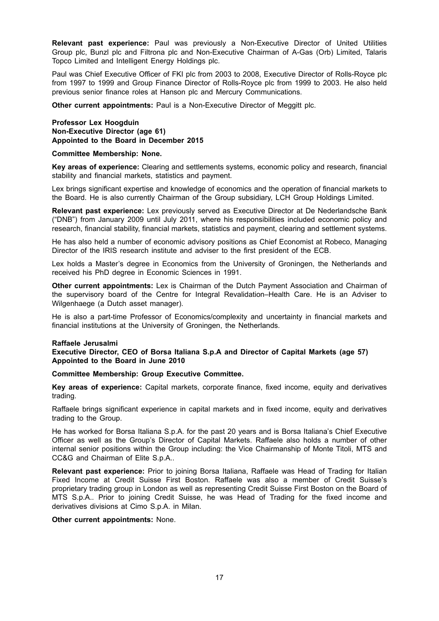**Relevant past experience:** Paul was previously a Non-Executive Director of United Utilities Group plc, Bunzl plc and Filtrona plc and Non-Executive Chairman of A-Gas (Orb) Limited, Talaris Topco Limited and Intelligent Energy Holdings plc.

Paul was Chief Executive Officer of FKI plc from 2003 to 2008, Executive Director of Rolls-Royce plc from 1997 to 1999 and Group Finance Director of Rolls-Royce plc from 1999 to 2003. He also held previous senior finance roles at Hanson plc and Mercury Communications.

**Other current appointments:** Paul is a Non-Executive Director of Meggitt plc.

**Professor Lex Hoogduin Non-Executive Director (age 61) Appointed to the Board in December 2015**

### **Committee Membership: None.**

**Key areas of experience:** Clearing and settlements systems, economic policy and research, financial stability and financial markets, statistics and payment.

Lex brings significant expertise and knowledge of economics and the operation of financial markets to the Board. He is also currently Chairman of the Group subsidiary, LCH Group Holdings Limited.

**Relevant past experience:** Lex previously served as Executive Director at De Nederlandsche Bank ("DNB") from January 2009 until July 2011, where his responsibilities included economic policy and research, financial stability, financial markets, statistics and payment, clearing and settlement systems.

He has also held a number of economic advisory positions as Chief Economist at Robeco, Managing Director of the IRIS research institute and adviser to the first president of the ECB.

Lex holds a Master's degree in Economics from the University of Groningen, the Netherlands and received his PhD degree in Economic Sciences in 1991.

**Other current appointments:** Lex is Chairman of the Dutch Payment Association and Chairman of the supervisory board of the Centre for Integral Revalidation–Health Care. He is an Adviser to Wilgenhaege (a Dutch asset manager).

He is also a part-time Professor of Economics/complexity and uncertainty in financial markets and financial institutions at the University of Groningen, the Netherlands.

### **Raffaele Jerusalmi**

**Executive Director, CEO of Borsa Italiana S.p.A and Director of Capital Markets (age 57) Appointed to the Board in June 2010**

### **Committee Membership: Group Executive Committee.**

**Key areas of experience:** Capital markets, corporate finance, fixed income, equity and derivatives trading.

Raffaele brings significant experience in capital markets and in fixed income, equity and derivatives trading to the Group.

He has worked for Borsa Italiana S.p.A. for the past 20 years and is Borsa Italiana's Chief Executive Officer as well as the Group's Director of Capital Markets. Raffaele also holds a number of other internal senior positions within the Group including: the Vice Chairmanship of Monte Titoli, MTS and CC&G and Chairman of Elite S.p.A..

**Relevant past experience:** Prior to joining Borsa Italiana, Raffaele was Head of Trading for Italian Fixed Income at Credit Suisse First Boston. Raffaele was also a member of Credit Suisse's proprietary trading group in London as well as representing Credit Suisse First Boston on the Board of MTS S.p.A.. Prior to joining Credit Suisse, he was Head of Trading for the fixed income and derivatives divisions at Cimo S.p.A. in Milan.

### **Other current appointments:** None.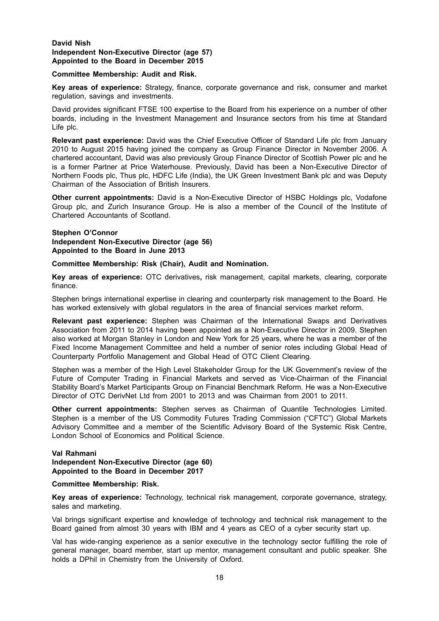### **David Nish Independent Non-Executive Director (age 57) Appointed to the Board in December 2015**

### **Committee Membership: Audit and Risk.**

**Key areas of experience:** Strategy, finance, corporate governance and risk, consumer and market regulation, savings and investments.

David provides significant FTSE 100 expertise to the Board from his experience on a number of other boards, including in the Investment Management and Insurance sectors from his time at Standard Life plc.

**Relevant past experience:** David was the Chief Executive Officer of Standard Life plc from January 2010 to August 2015 having joined the company as Group Finance Director in November 2006. A chartered accountant, David was also previously Group Finance Director of Scottish Power plc and he is a former Partner at Price Waterhouse. Previously, David has been a Non-Executive Director of Northern Foods plc, Thus plc, HDFC Life (India), the UK Green Investment Bank plc and was Deputy Chairman of the Association of British Insurers.

**Other current appointments:** David is a Non-Executive Director of HSBC Holdings plc, Vodafone Group plc, and Zurich Insurance Group. He is also a member of the Council of the Institute of Chartered Accountants of Scotland.

### **Stephen O'Connor Independent Non-Executive Director (age 56) Appointed to the Board in June 2013**

### **Committee Membership: Risk (Chair), Audit and Nomination.**

**Key areas of experience:** OTC derivatives**,** risk management, capital markets, clearing, corporate finance.

Stephen brings international expertise in clearing and counterparty risk management to the Board. He has worked extensively with global regulators in the area of financial services market reform.

**Relevant past experience:** Stephen was Chairman of the International Swaps and Derivatives Association from 2011 to 2014 having been appointed as a Non-Executive Director in 2009. Stephen also worked at Morgan Stanley in London and New York for 25 years, where he was a member of the Fixed Income Management Committee and held a number of senior roles including Global Head of Counterparty Portfolio Management and Global Head of OTC Client Clearing.

Stephen was a member of the High Level Stakeholder Group for the UK Government's review of the Future of Computer Trading in Financial Markets and served as Vice-Chairman of the Financial Stability Board's Market Participants Group on Financial Benchmark Reform. He was a Non-Executive Director of OTC DerivNet Ltd from 2001 to 2013 and was Chairman from 2001 to 2011.

**Other current appointments:** Stephen serves as Chairman of Quantile Technologies Limited. Stephen is a member of the US Commodity Futures Trading Commission ("CFTC") Global Markets Advisory Committee and a member of the Scientific Advisory Board of the Systemic Risk Centre, London School of Economics and Political Science.

## **Val Rahmani Independent Non-Executive Director (age 60) Appointed to the Board in December 2017**

### **Committee Membership: Risk.**

**Key areas of experience:** Technology, technical risk management, corporate governance, strategy, sales and marketing.

Val brings significant expertise and knowledge of technology and technical risk management to the Board gained from almost 30 years with IBM and 4 years as CEO of a cyber security start up.

Val has wide-ranging experience as a senior executive in the technology sector fulfilling the role of general manager, board member, start up mentor, management consultant and public speaker. She holds a DPhil in Chemistry from the University of Oxford.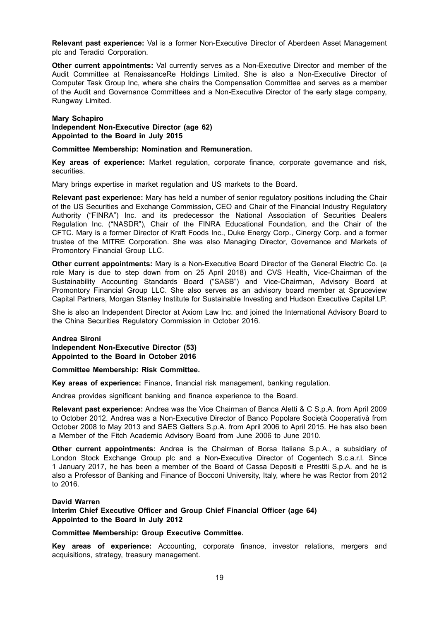**Relevant past experience:** Val is a former Non-Executive Director of Aberdeen Asset Management plc and Teradici Corporation.

**Other current appointments:** Val currently serves as a Non-Executive Director and member of the Audit Committee at RenaissanceRe Holdings Limited. She is also a Non-Executive Director of Computer Task Group Inc, where she chairs the Compensation Committee and serves as a member of the Audit and Governance Committees and a Non-Executive Director of the early stage company, Rungway Limited.

#### **Mary Schapiro**

**Independent Non-Executive Director (age 62) Appointed to the Board in July 2015**

**Committee Membership: Nomination and Remuneration.**

**Key areas of experience:** Market regulation, corporate finance, corporate governance and risk, securities.

Mary brings expertise in market regulation and US markets to the Board.

**Relevant past experience:** Mary has held a number of senior regulatory positions including the Chair of the US Securities and Exchange Commission, CEO and Chair of the Financial Industry Regulatory Authority ("FINRA") Inc. and its predecessor the National Association of Securities Dealers Regulation Inc. ("NASDR"), Chair of the FINRA Educational Foundation, and the Chair of the CFTC. Mary is a former Director of Kraft Foods Inc., Duke Energy Corp., Cinergy Corp. and a former trustee of the MITRE Corporation. She was also Managing Director, Governance and Markets of Promontory Financial Group LLC.

**Other current appointments:** Mary is a Non-Executive Board Director of the General Electric Co. (a role Mary is due to step down from on 25 April 2018) and CVS Health, Vice-Chairman of the Sustainability Accounting Standards Board ("SASB") and Vice-Chairman, Advisory Board at Promontory Financial Group LLC. She also serves as an advisory board member at Spruceview Capital Partners, Morgan Stanley Institute for Sustainable Investing and Hudson Executive Capital LP.

She is also an Independent Director at Axiom Law Inc. and joined the International Advisory Board to the China Securities Regulatory Commission in October 2016.

**Andrea Sironi Independent Non-Executive Director (53) Appointed to the Board in October 2016**

**Committee Membership: Risk Committee.**

**Key areas of experience:** Finance, financial risk management, banking regulation.

Andrea provides significant banking and finance experience to the Board.

**Relevant past experience:** Andrea was the Vice Chairman of Banca Aletti & C S.p.A. from April 2009 to October 2012. Andrea was a Non-Executive Director of Banco Popolare Società Cooperativà from October 2008 to May 2013 and SAES Getters S.p.A. from April 2006 to April 2015. He has also been a Member of the Fitch Academic Advisory Board from June 2006 to June 2010.

**Other current appointments:** Andrea is the Chairman of Borsa Italiana S.p.A., a subsidiary of London Stock Exchange Group plc and a Non-Executive Director of Cogentech S.c.a.r.l. Since 1 January 2017, he has been a member of the Board of Cassa Depositi e Prestiti S.p.A. and he is also a Professor of Banking and Finance of Bocconi University, Italy, where he was Rector from 2012 to 2016.

### **David Warren**

**Interim Chief Executive Officer and Group Chief Financial Officer (age 64) Appointed to the Board in July 2012**

### **Committee Membership: Group Executive Committee.**

**Key areas of experience:** Accounting, corporate finance, investor relations, mergers and acquisitions, strategy, treasury management.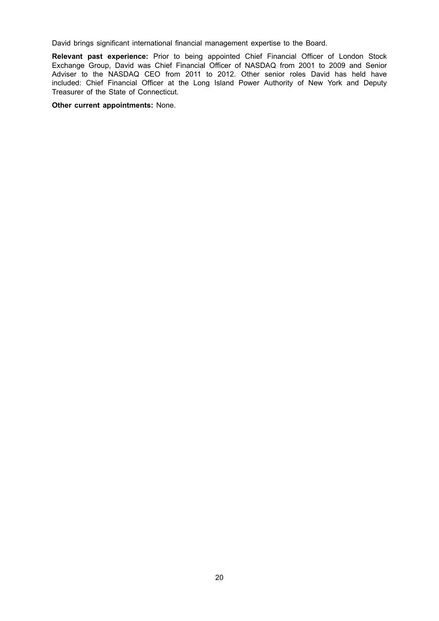David brings significant international financial management expertise to the Board.

**Relevant past experience:** Prior to being appointed Chief Financial Officer of London Stock Exchange Group, David was Chief Financial Officer of NASDAQ from 2001 to 2009 and Senior Adviser to the NASDAQ CEO from 2011 to 2012. Other senior roles David has held have included: Chief Financial Officer at the Long Island Power Authority of New York and Deputy Treasurer of the State of Connecticut.

**Other current appointments:** None.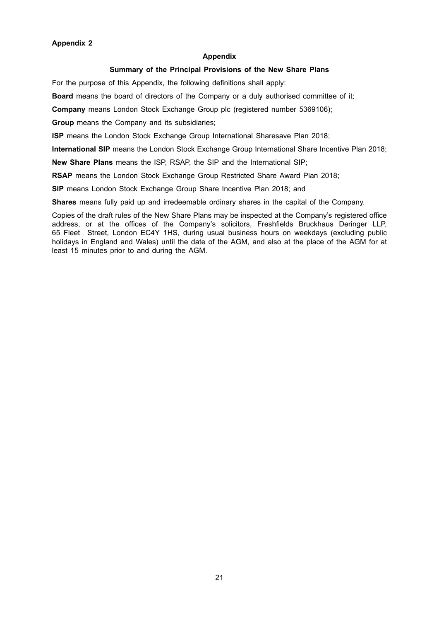#### **Appendix**

# **Summary of the Principal Provisions of the New Share Plans**

For the purpose of this Appendix, the following definitions shall apply:

**Board** means the board of directors of the Company or a duly authorised committee of it;

**Company** means London Stock Exchange Group plc (registered number 5369106);

**Group** means the Company and its subsidiaries;

**ISP** means the London Stock Exchange Group International Sharesave Plan 2018;

**International SIP** means the London Stock Exchange Group International Share Incentive Plan 2018;

**New Share Plans** means the ISP, RSAP, the SIP and the International SIP;

**RSAP** means the London Stock Exchange Group Restricted Share Award Plan 2018;

**SIP** means London Stock Exchange Group Share Incentive Plan 2018; and

**Shares** means fully paid up and irredeemable ordinary shares in the capital of the Company.

Copies of the draft rules of the New Share Plans may be inspected at the Company's registered office address, or at the offices of the Company's solicitors, Freshfields Bruckhaus Deringer LLP, 65 Fleet Street, London EC4Y 1HS, during usual business hours on weekdays (excluding public holidays in England and Wales) until the date of the AGM, and also at the place of the AGM for at least 15 minutes prior to and during the AGM.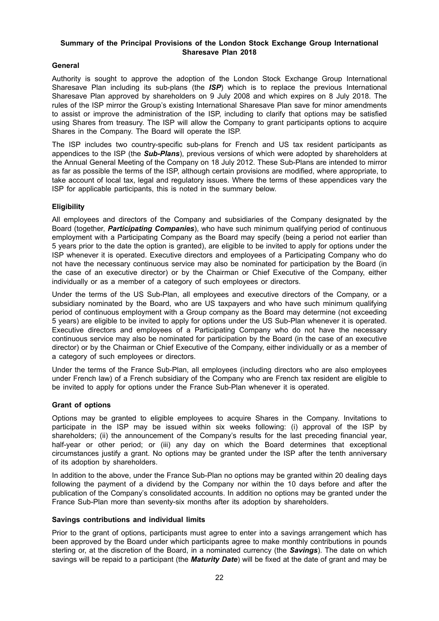## **Summary of the Principal Provisions of the London Stock Exchange Group International Sharesave Plan 2018**

## **General**

Authority is sought to approve the adoption of the London Stock Exchange Group International Sharesave Plan including its sub-plans (the *ISP*) which is to replace the previous International Sharesave Plan approved by shareholders on 9 July 2008 and which expires on 8 July 2018. The rules of the ISP mirror the Group's existing International Sharesave Plan save for minor amendments to assist or improve the administration of the ISP, including to clarify that options may be satisfied using Shares from treasury. The ISP will allow the Company to grant participants options to acquire Shares in the Company. The Board will operate the ISP.

The ISP includes two country-specific sub-plans for French and US tax resident participants as appendices to the ISP (the *Sub-Plans*), previous versions of which were adopted by shareholders at the Annual General Meeting of the Company on 18 July 2012. These Sub-Plans are intended to mirror as far as possible the terms of the ISP, although certain provisions are modified, where appropriate, to take account of local tax, legal and regulatory issues. Where the terms of these appendices vary the ISP for applicable participants, this is noted in the summary below.

## **Eligibility**

All employees and directors of the Company and subsidiaries of the Company designated by the Board (together, *Participating Companies*), who have such minimum qualifying period of continuous employment with a Participating Company as the Board may specify (being a period not earlier than 5 years prior to the date the option is granted), are eligible to be invited to apply for options under the ISP whenever it is operated. Executive directors and employees of a Participating Company who do not have the necessary continuous service may also be nominated for participation by the Board (in the case of an executive director) or by the Chairman or Chief Executive of the Company, either individually or as a member of a category of such employees or directors.

Under the terms of the US Sub-Plan, all employees and executive directors of the Company, or a subsidiary nominated by the Board, who are US taxpayers and who have such minimum qualifying period of continuous employment with a Group company as the Board may determine (not exceeding 5 years) are eligible to be invited to apply for options under the US Sub-Plan whenever it is operated. Executive directors and employees of a Participating Company who do not have the necessary continuous service may also be nominated for participation by the Board (in the case of an executive director) or by the Chairman or Chief Executive of the Company, either individually or as a member of a category of such employees or directors.

Under the terms of the France Sub-Plan, all employees (including directors who are also employees under French law) of a French subsidiary of the Company who are French tax resident are eligible to be invited to apply for options under the France Sub-Plan whenever it is operated.

### **Grant of options**

Options may be granted to eligible employees to acquire Shares in the Company. Invitations to participate in the ISP may be issued within six weeks following: (i) approval of the ISP by shareholders; (ii) the announcement of the Company's results for the last preceding financial year, half-year or other period; or (iii) any day on which the Board determines that exceptional circumstances justify a grant. No options may be granted under the ISP after the tenth anniversary of its adoption by shareholders.

In addition to the above, under the France Sub-Plan no options may be granted within 20 dealing days following the payment of a dividend by the Company nor within the 10 days before and after the publication of the Company's consolidated accounts. In addition no options may be granted under the France Sub-Plan more than seventy-six months after its adoption by shareholders.

### **Savings contributions and individual limits**

Prior to the grant of options, participants must agree to enter into a savings arrangement which has been approved by the Board under which participants agree to make monthly contributions in pounds sterling or, at the discretion of the Board, in a nominated currency (the *Savings*). The date on which savings will be repaid to a participant (the *Maturity Date*) will be fixed at the date of grant and may be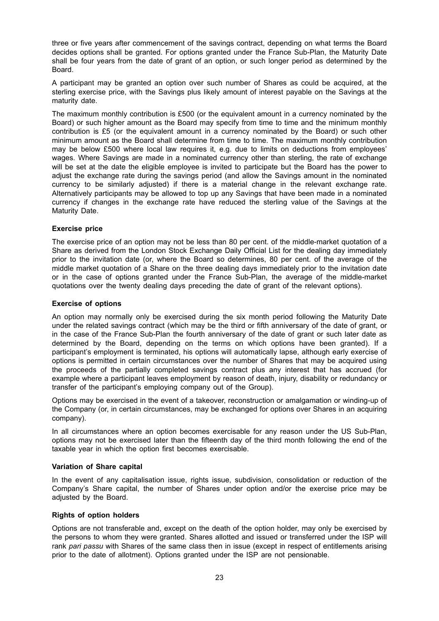three or five years after commencement of the savings contract, depending on what terms the Board decides options shall be granted. For options granted under the France Sub-Plan, the Maturity Date shall be four years from the date of grant of an option, or such longer period as determined by the Board.

A participant may be granted an option over such number of Shares as could be acquired, at the sterling exercise price, with the Savings plus likely amount of interest payable on the Savings at the maturity date.

The maximum monthly contribution is £500 (or the equivalent amount in a currency nominated by the Board) or such higher amount as the Board may specify from time to time and the minimum monthly contribution is £5 (or the equivalent amount in a currency nominated by the Board) or such other minimum amount as the Board shall determine from time to time. The maximum monthly contribution may be below £500 where local law requires it, e.g. due to limits on deductions from employees' wages. Where Savings are made in a nominated currency other than sterling, the rate of exchange will be set at the date the eligible employee is invited to participate but the Board has the power to adjust the exchange rate during the savings period (and allow the Savings amount in the nominated currency to be similarly adjusted) if there is a material change in the relevant exchange rate. Alternatively participants may be allowed to top up any Savings that have been made in a nominated currency if changes in the exchange rate have reduced the sterling value of the Savings at the Maturity Date.

## **Exercise price**

The exercise price of an option may not be less than 80 per cent. of the middle-market quotation of a Share as derived from the London Stock Exchange Daily Official List for the dealing day immediately prior to the invitation date (or, where the Board so determines, 80 per cent. of the average of the middle market quotation of a Share on the three dealing days immediately prior to the invitation date or in the case of options granted under the France Sub-Plan, the average of the middle-market quotations over the twenty dealing days preceding the date of grant of the relevant options).

## **Exercise of options**

An option may normally only be exercised during the six month period following the Maturity Date under the related savings contract (which may be the third or fifth anniversary of the date of grant, or in the case of the France Sub-Plan the fourth anniversary of the date of grant or such later date as determined by the Board, depending on the terms on which options have been granted). If a participant's employment is terminated, his options will automatically lapse, although early exercise of options is permitted in certain circumstances over the number of Shares that may be acquired using the proceeds of the partially completed savings contract plus any interest that has accrued (for example where a participant leaves employment by reason of death, injury, disability or redundancy or transfer of the participant's employing company out of the Group).

Options may be exercised in the event of a takeover, reconstruction or amalgamation or winding-up of the Company (or, in certain circumstances, may be exchanged for options over Shares in an acquiring company).

In all circumstances where an option becomes exercisable for any reason under the US Sub-Plan, options may not be exercised later than the fifteenth day of the third month following the end of the taxable year in which the option first becomes exercisable.

## **Variation of Share capital**

In the event of any capitalisation issue, rights issue, subdivision, consolidation or reduction of the Company's Share capital, the number of Shares under option and/or the exercise price may be adjusted by the Board.

## **Rights of option holders**

Options are not transferable and, except on the death of the option holder, may only be exercised by the persons to whom they were granted. Shares allotted and issued or transferred under the ISP will rank *pari passu* with Shares of the same class then in issue (except in respect of entitlements arising prior to the date of allotment). Options granted under the ISP are not pensionable.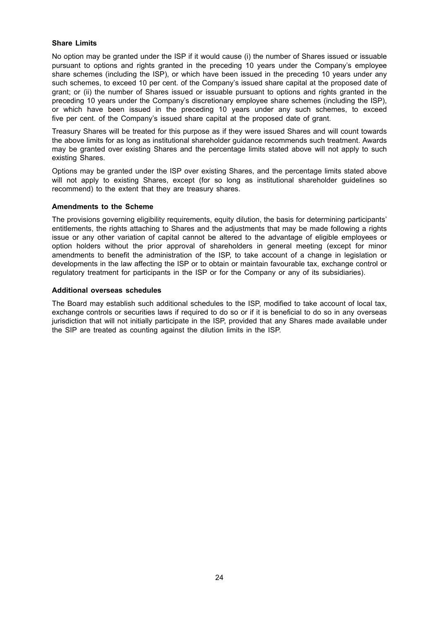# **Share Limits**

No option may be granted under the ISP if it would cause (i) the number of Shares issued or issuable pursuant to options and rights granted in the preceding 10 years under the Company's employee share schemes (including the ISP), or which have been issued in the preceding 10 years under any such schemes, to exceed 10 per cent. of the Company's issued share capital at the proposed date of grant; or (ii) the number of Shares issued or issuable pursuant to options and rights granted in the preceding 10 years under the Company's discretionary employee share schemes (including the ISP), or which have been issued in the preceding 10 years under any such schemes, to exceed five per cent. of the Company's issued share capital at the proposed date of grant.

Treasury Shares will be treated for this purpose as if they were issued Shares and will count towards the above limits for as long as institutional shareholder guidance recommends such treatment. Awards may be granted over existing Shares and the percentage limits stated above will not apply to such existing Shares.

Options may be granted under the ISP over existing Shares, and the percentage limits stated above will not apply to existing Shares, except (for so long as institutional shareholder quidelines so recommend) to the extent that they are treasury shares.

### **Amendments to the Scheme**

The provisions governing eligibility requirements, equity dilution, the basis for determining participants' entitlements, the rights attaching to Shares and the adjustments that may be made following a rights issue or any other variation of capital cannot be altered to the advantage of eligible employees or option holders without the prior approval of shareholders in general meeting (except for minor amendments to benefit the administration of the ISP, to take account of a change in legislation or developments in the law affecting the ISP or to obtain or maintain favourable tax, exchange control or regulatory treatment for participants in the ISP or for the Company or any of its subsidiaries).

### **Additional overseas schedules**

The Board may establish such additional schedules to the ISP, modified to take account of local tax, exchange controls or securities laws if required to do so or if it is beneficial to do so in any overseas jurisdiction that will not initially participate in the ISP, provided that any Shares made available under the SIP are treated as counting against the dilution limits in the ISP.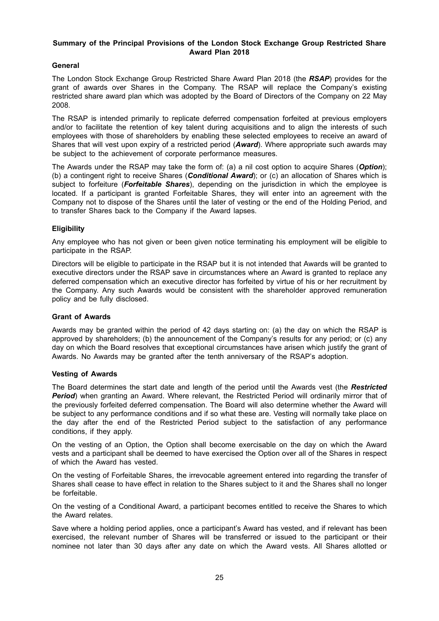# **Summary of the Principal Provisions of the London Stock Exchange Group Restricted Share Award Plan 2018**

# **General**

The London Stock Exchange Group Restricted Share Award Plan 2018 (the *RSAP*) provides for the grant of awards over Shares in the Company. The RSAP will replace the Company's existing restricted share award plan which was adopted by the Board of Directors of the Company on 22 May 2008.

The RSAP is intended primarily to replicate deferred compensation forfeited at previous employers and/or to facilitate the retention of key talent during acquisitions and to align the interests of such employees with those of shareholders by enabling these selected employees to receive an award of Shares that will vest upon expiry of a restricted period (*Award*). Where appropriate such awards may be subject to the achievement of corporate performance measures.

The Awards under the RSAP may take the form of: (a) a nil cost option to acquire Shares (*Option*); (b) a contingent right to receive Shares (*Conditional Award*); or (c) an allocation of Shares which is subject to forfeiture (*Forfeitable Shares*), depending on the jurisdiction in which the employee is located. If a participant is granted Forfeitable Shares, they will enter into an agreement with the Company not to dispose of the Shares until the later of vesting or the end of the Holding Period, and to transfer Shares back to the Company if the Award lapses.

# **Eligibility**

Any employee who has not given or been given notice terminating his employment will be eligible to participate in the RSAP.

Directors will be eligible to participate in the RSAP but it is not intended that Awards will be granted to executive directors under the RSAP save in circumstances where an Award is granted to replace any deferred compensation which an executive director has forfeited by virtue of his or her recruitment by the Company. Any such Awards would be consistent with the shareholder approved remuneration policy and be fully disclosed.

## **Grant of Awards**

Awards may be granted within the period of 42 days starting on: (a) the day on which the RSAP is approved by shareholders; (b) the announcement of the Company's results for any period; or (c) any day on which the Board resolves that exceptional circumstances have arisen which justify the grant of Awards. No Awards may be granted after the tenth anniversary of the RSAP's adoption.

## **Vesting of Awards**

The Board determines the start date and length of the period until the Awards vest (the *Restricted* **Period**) when granting an Award. Where relevant, the Restricted Period will ordinarily mirror that of the previously forfeited deferred compensation. The Board will also determine whether the Award will be subject to any performance conditions and if so what these are. Vesting will normally take place on the day after the end of the Restricted Period subject to the satisfaction of any performance conditions, if they apply.

On the vesting of an Option, the Option shall become exercisable on the day on which the Award vests and a participant shall be deemed to have exercised the Option over all of the Shares in respect of which the Award has vested.

On the vesting of Forfeitable Shares, the irrevocable agreement entered into regarding the transfer of Shares shall cease to have effect in relation to the Shares subject to it and the Shares shall no longer be forfeitable.

On the vesting of a Conditional Award, a participant becomes entitled to receive the Shares to which the Award relates.

Save where a holding period applies, once a participant's Award has vested, and if relevant has been exercised, the relevant number of Shares will be transferred or issued to the participant or their nominee not later than 30 days after any date on which the Award vests. All Shares allotted or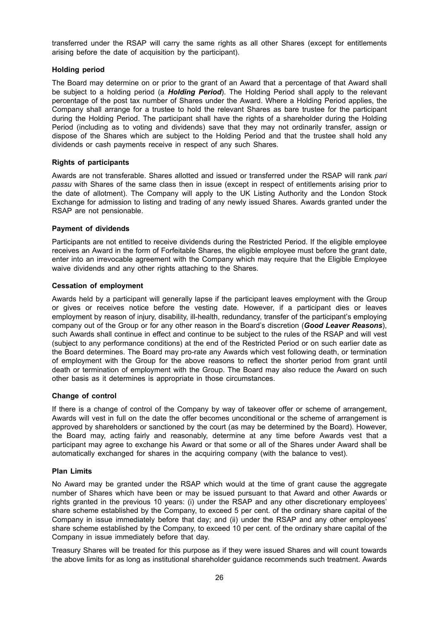transferred under the RSAP will carry the same rights as all other Shares (except for entitlements arising before the date of acquisition by the participant).

## **Holding period**

The Board may determine on or prior to the grant of an Award that a percentage of that Award shall be subject to a holding period (a *Holding Period*). The Holding Period shall apply to the relevant percentage of the post tax number of Shares under the Award. Where a Holding Period applies, the Company shall arrange for a trustee to hold the relevant Shares as bare trustee for the participant during the Holding Period. The participant shall have the rights of a shareholder during the Holding Period (including as to voting and dividends) save that they may not ordinarily transfer, assign or dispose of the Shares which are subject to the Holding Period and that the trustee shall hold any dividends or cash payments receive in respect of any such Shares.

### **Rights of participants**

Awards are not transferable. Shares allotted and issued or transferred under the RSAP will rank *pari passu* with Shares of the same class then in issue (except in respect of entitlements arising prior to the date of allotment). The Company will apply to the UK Listing Authority and the London Stock Exchange for admission to listing and trading of any newly issued Shares. Awards granted under the RSAP are not pensionable.

### **Payment of dividends**

Participants are not entitled to receive dividends during the Restricted Period. If the eligible employee receives an Award in the form of Forfeitable Shares, the eligible employee must before the grant date, enter into an irrevocable agreement with the Company which may require that the Eligible Employee waive dividends and any other rights attaching to the Shares.

## **Cessation of employment**

Awards held by a participant will generally lapse if the participant leaves employment with the Group or gives or receives notice before the vesting date. However, if a participant dies or leaves employment by reason of injury, disability, ill-health, redundancy, transfer of the participant's employing company out of the Group or for any other reason in the Board's discretion (*Good Leaver Reasons*), such Awards shall continue in effect and continue to be subject to the rules of the RSAP and will vest (subject to any performance conditions) at the end of the Restricted Period or on such earlier date as the Board determines. The Board may pro-rate any Awards which vest following death, or termination of employment with the Group for the above reasons to reflect the shorter period from grant until death or termination of employment with the Group. The Board may also reduce the Award on such other basis as it determines is appropriate in those circumstances.

### **Change of control**

If there is a change of control of the Company by way of takeover offer or scheme of arrangement, Awards will vest in full on the date the offer becomes unconditional or the scheme of arrangement is approved by shareholders or sanctioned by the court (as may be determined by the Board). However, the Board may, acting fairly and reasonably, determine at any time before Awards vest that a participant may agree to exchange his Award or that some or all of the Shares under Award shall be automatically exchanged for shares in the acquiring company (with the balance to vest).

### **Plan Limits**

No Award may be granted under the RSAP which would at the time of grant cause the aggregate number of Shares which have been or may be issued pursuant to that Award and other Awards or rights granted in the previous 10 years: (i) under the RSAP and any other discretionary employees' share scheme established by the Company, to exceed 5 per cent. of the ordinary share capital of the Company in issue immediately before that day; and (ii) under the RSAP and any other employees' share scheme established by the Company, to exceed 10 per cent. of the ordinary share capital of the Company in issue immediately before that day.

Treasury Shares will be treated for this purpose as if they were issued Shares and will count towards the above limits for as long as institutional shareholder guidance recommends such treatment. Awards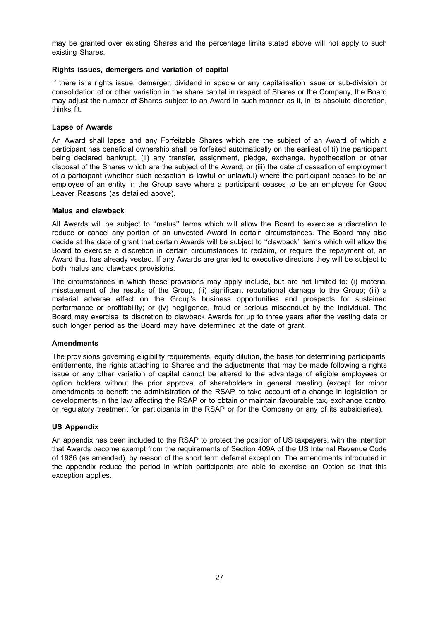may be granted over existing Shares and the percentage limits stated above will not apply to such existing Shares.

## **Rights issues, demergers and variation of capital**

If there is a rights issue, demerger, dividend in specie or any capitalisation issue or sub-division or consolidation of or other variation in the share capital in respect of Shares or the Company, the Board may adjust the number of Shares subject to an Award in such manner as it, in its absolute discretion, thinks fit.

## **Lapse of Awards**

An Award shall lapse and any Forfeitable Shares which are the subject of an Award of which a participant has beneficial ownership shall be forfeited automatically on the earliest of (i) the participant being declared bankrupt, (ii) any transfer, assignment, pledge, exchange, hypothecation or other disposal of the Shares which are the subject of the Award; or (iii) the date of cessation of employment of a participant (whether such cessation is lawful or unlawful) where the participant ceases to be an employee of an entity in the Group save where a participant ceases to be an employee for Good Leaver Reasons (as detailed above).

### **Malus and clawback**

All Awards will be subject to ''malus'' terms which will allow the Board to exercise a discretion to reduce or cancel any portion of an unvested Award in certain circumstances. The Board may also decide at the date of grant that certain Awards will be subject to ''clawback'' terms which will allow the Board to exercise a discretion in certain circumstances to reclaim, or require the repayment of, an Award that has already vested. If any Awards are granted to executive directors they will be subject to both malus and clawback provisions.

The circumstances in which these provisions may apply include, but are not limited to: (i) material misstatement of the results of the Group, (ii) significant reputational damage to the Group; (iii) a material adverse effect on the Group's business opportunities and prospects for sustained performance or profitability; or (iv) negligence, fraud or serious misconduct by the individual. The Board may exercise its discretion to clawback Awards for up to three years after the vesting date or such longer period as the Board may have determined at the date of grant.

### **Amendments**

The provisions governing eligibility requirements, equity dilution, the basis for determining participants' entitlements, the rights attaching to Shares and the adjustments that may be made following a rights issue or any other variation of capital cannot be altered to the advantage of eligible employees or option holders without the prior approval of shareholders in general meeting (except for minor amendments to benefit the administration of the RSAP, to take account of a change in legislation or developments in the law affecting the RSAP or to obtain or maintain favourable tax, exchange control or regulatory treatment for participants in the RSAP or for the Company or any of its subsidiaries).

### **US Appendix**

An appendix has been included to the RSAP to protect the position of US taxpayers, with the intention that Awards become exempt from the requirements of Section 409A of the US Internal Revenue Code of 1986 (as amended), by reason of the short term deferral exception. The amendments introduced in the appendix reduce the period in which participants are able to exercise an Option so that this exception applies.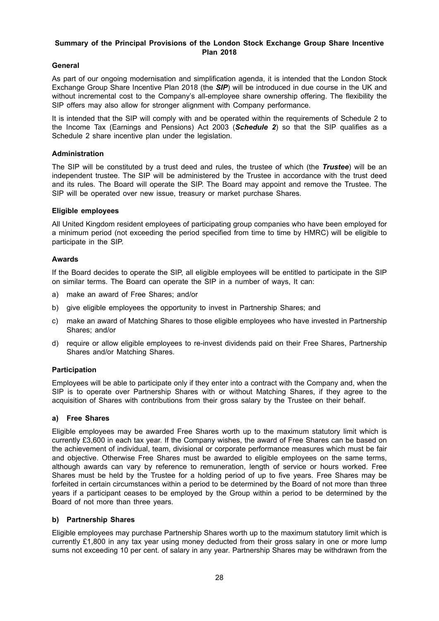# **Summary of the Principal Provisions of the London Stock Exchange Group Share Incentive Plan 2018**

# **General**

As part of our ongoing modernisation and simplification agenda, it is intended that the London Stock Exchange Group Share Incentive Plan 2018 (the *SIP*) will be introduced in due course in the UK and without incremental cost to the Company's all-employee share ownership offering. The flexibility the SIP offers may also allow for stronger alignment with Company performance.

It is intended that the SIP will comply with and be operated within the requirements of Schedule 2 to the Income Tax (Earnings and Pensions) Act 2003 (*Schedule 2*) so that the SIP qualifies as a Schedule 2 share incentive plan under the legislation.

## **Administration**

The SIP will be constituted by a trust deed and rules, the trustee of which (the *Trustee*) will be an independent trustee. The SIP will be administered by the Trustee in accordance with the trust deed and its rules. The Board will operate the SIP. The Board may appoint and remove the Trustee. The SIP will be operated over new issue, treasury or market purchase Shares.

# **Eligible employees**

All United Kingdom resident employees of participating group companies who have been employed for a minimum period (not exceeding the period specified from time to time by HMRC) will be eligible to participate in the SIP.

## **Awards**

If the Board decides to operate the SIP, all eligible employees will be entitled to participate in the SIP on similar terms. The Board can operate the SIP in a number of ways, It can:

- a) make an award of Free Shares; and/or
- b) give eligible employees the opportunity to invest in Partnership Shares; and
- c) make an award of Matching Shares to those eligible employees who have invested in Partnership Shares; and/or
- d) require or allow eligible employees to re-invest dividends paid on their Free Shares, Partnership Shares and/or Matching Shares.

## **Participation**

Employees will be able to participate only if they enter into a contract with the Company and, when the SIP is to operate over Partnership Shares with or without Matching Shares, if they agree to the acquisition of Shares with contributions from their gross salary by the Trustee on their behalf.

## **a) Free Shares**

Eligible employees may be awarded Free Shares worth up to the maximum statutory limit which is currently £3,600 in each tax year. If the Company wishes, the award of Free Shares can be based on the achievement of individual, team, divisional or corporate performance measures which must be fair and objective. Otherwise Free Shares must be awarded to eligible employees on the same terms, although awards can vary by reference to remuneration, length of service or hours worked. Free Shares must be held by the Trustee for a holding period of up to five years. Free Shares may be forfeited in certain circumstances within a period to be determined by the Board of not more than three years if a participant ceases to be employed by the Group within a period to be determined by the Board of not more than three years.

## **b) Partnership Shares**

Eligible employees may purchase Partnership Shares worth up to the maximum statutory limit which is currently £1,800 in any tax year using money deducted from their gross salary in one or more lump sums not exceeding 10 per cent. of salary in any year. Partnership Shares may be withdrawn from the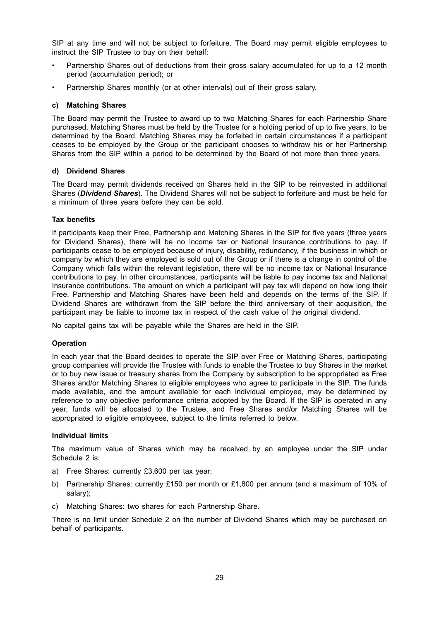SIP at any time and will not be subject to forfeiture. The Board may permit eligible employees to instruct the SIP Trustee to buy on their behalf:

- Partnership Shares out of deductions from their gross salary accumulated for up to a 12 month period (accumulation period); or
- Partnership Shares monthly (or at other intervals) out of their gross salary.

### **c) Matching Shares**

The Board may permit the Trustee to award up to two Matching Shares for each Partnership Share purchased. Matching Shares must be held by the Trustee for a holding period of up to five years, to be determined by the Board. Matching Shares may be forfeited in certain circumstances if a participant ceases to be employed by the Group or the participant chooses to withdraw his or her Partnership Shares from the SIP within a period to be determined by the Board of not more than three years.

### **d) Dividend Shares**

The Board may permit dividends received on Shares held in the SIP to be reinvested in additional Shares (*Dividend Shares*). The Dividend Shares will not be subject to forfeiture and must be held for a minimum of three years before they can be sold.

### **Tax benefits**

If participants keep their Free, Partnership and Matching Shares in the SIP for five years (three years for Dividend Shares), there will be no income tax or National Insurance contributions to pay. If participants cease to be employed because of injury, disability, redundancy, if the business in which or company by which they are employed is sold out of the Group or if there is a change in control of the Company which falls within the relevant legislation, there will be no income tax or National Insurance contributions to pay. In other circumstances, participants will be liable to pay income tax and National Insurance contributions. The amount on which a participant will pay tax will depend on how long their Free, Partnership and Matching Shares have been held and depends on the terms of the SIP. If Dividend Shares are withdrawn from the SIP before the third anniversary of their acquisition, the participant may be liable to income tax in respect of the cash value of the original dividend.

No capital gains tax will be payable while the Shares are held in the SIP.

### **Operation**

In each year that the Board decides to operate the SIP over Free or Matching Shares, participating group companies will provide the Trustee with funds to enable the Trustee to buy Shares in the market or to buy new issue or treasury shares from the Company by subscription to be appropriated as Free Shares and/or Matching Shares to eligible employees who agree to participate in the SIP. The funds made available, and the amount available for each individual employee, may be determined by reference to any objective performance criteria adopted by the Board. If the SIP is operated in any year, funds will be allocated to the Trustee, and Free Shares and/or Matching Shares will be appropriated to eligible employees, subject to the limits referred to below.

## **Individual limits**

The maximum value of Shares which may be received by an employee under the SIP under Schedule 2 is:

- a) Free Shares: currently £3,600 per tax year;
- b) Partnership Shares: currently £150 per month or £1,800 per annum (and a maximum of 10% of salary);
- c) Matching Shares: two shares for each Partnership Share.

There is no limit under Schedule 2 on the number of Dividend Shares which may be purchased on behalf of participants.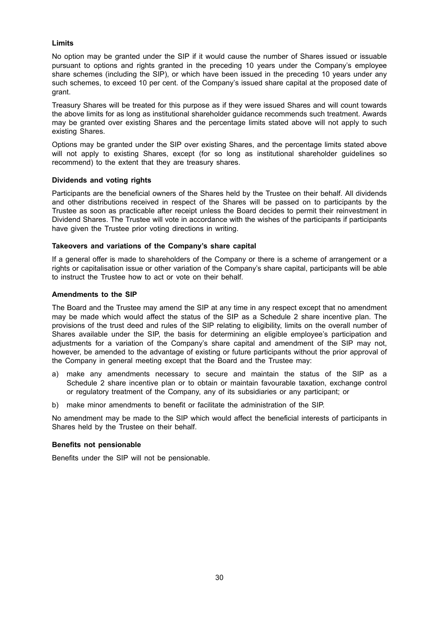## **Limits**

No option may be granted under the SIP if it would cause the number of Shares issued or issuable pursuant to options and rights granted in the preceding 10 years under the Company's employee share schemes (including the SIP), or which have been issued in the preceding 10 years under any such schemes, to exceed 10 per cent. of the Company's issued share capital at the proposed date of grant.

Treasury Shares will be treated for this purpose as if they were issued Shares and will count towards the above limits for as long as institutional shareholder guidance recommends such treatment. Awards may be granted over existing Shares and the percentage limits stated above will not apply to such existing Shares.

Options may be granted under the SIP over existing Shares, and the percentage limits stated above will not apply to existing Shares, except (for so long as institutional shareholder guidelines so recommend) to the extent that they are treasury shares.

### **Dividends and voting rights**

Participants are the beneficial owners of the Shares held by the Trustee on their behalf. All dividends and other distributions received in respect of the Shares will be passed on to participants by the Trustee as soon as practicable after receipt unless the Board decides to permit their reinvestment in Dividend Shares. The Trustee will vote in accordance with the wishes of the participants if participants have given the Trustee prior voting directions in writing.

### **Takeovers and variations of the Company's share capital**

If a general offer is made to shareholders of the Company or there is a scheme of arrangement or a rights or capitalisation issue or other variation of the Company's share capital, participants will be able to instruct the Trustee how to act or vote on their behalf.

## **Amendments to the SIP**

The Board and the Trustee may amend the SIP at any time in any respect except that no amendment may be made which would affect the status of the SIP as a Schedule 2 share incentive plan. The provisions of the trust deed and rules of the SIP relating to eligibility, limits on the overall number of Shares available under the SIP, the basis for determining an eligible employee's participation and adjustments for a variation of the Company's share capital and amendment of the SIP may not, however, be amended to the advantage of existing or future participants without the prior approval of the Company in general meeting except that the Board and the Trustee may:

- a) make any amendments necessary to secure and maintain the status of the SIP as a Schedule 2 share incentive plan or to obtain or maintain favourable taxation, exchange control or regulatory treatment of the Company, any of its subsidiaries or any participant; or
- b) make minor amendments to benefit or facilitate the administration of the SIP.

No amendment may be made to the SIP which would affect the beneficial interests of participants in Shares held by the Trustee on their behalf.

### **Benefits not pensionable**

Benefits under the SIP will not be pensionable.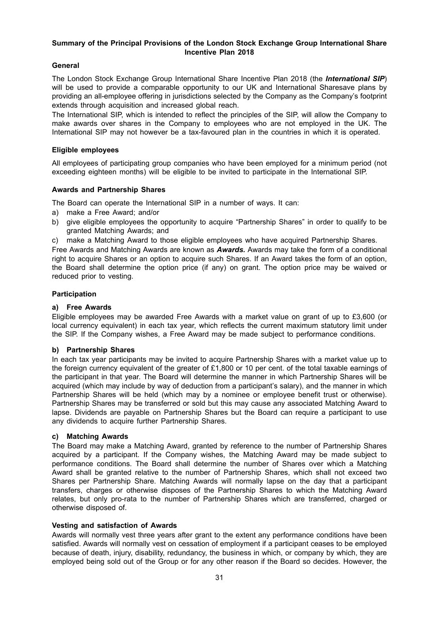# **Summary of the Principal Provisions of the London Stock Exchange Group International Share Incentive Plan 2018**

# **General**

The London Stock Exchange Group International Share Incentive Plan 2018 (the *International SIP*) will be used to provide a comparable opportunity to our UK and International Sharesave plans by providing an all-employee offering in jurisdictions selected by the Company as the Company's footprint extends through acquisition and increased global reach.

The International SIP, which is intended to reflect the principles of the SIP, will allow the Company to make awards over shares in the Company to employees who are not employed in the UK. The International SIP may not however be a tax-favoured plan in the countries in which it is operated.

## **Eligible employees**

All employees of participating group companies who have been employed for a minimum period (not exceeding eighteen months) will be eligible to be invited to participate in the International SIP.

## **Awards and Partnership Shares**

The Board can operate the International SIP in a number of ways. It can:

- a) make a Free Award; and/or
- b) give eligible employees the opportunity to acquire "Partnership Shares" in order to qualify to be granted Matching Awards; and
- c) make a Matching Award to those eligible employees who have acquired Partnership Shares.

Free Awards and Matching Awards are known as *Awards.* Awards may take the form of a conditional right to acquire Shares or an option to acquire such Shares. If an Award takes the form of an option, the Board shall determine the option price (if any) on grant. The option price may be waived or reduced prior to vesting.

### **Participation**

## **a) Free Awards**

Eligible employees may be awarded Free Awards with a market value on grant of up to £3,600 (or local currency equivalent) in each tax year, which reflects the current maximum statutory limit under the SIP. If the Company wishes, a Free Award may be made subject to performance conditions.

## **b) Partnership Shares**

In each tax year participants may be invited to acquire Partnership Shares with a market value up to the foreign currency equivalent of the greater of £1,800 or 10 per cent. of the total taxable earnings of the participant in that year. The Board will determine the manner in which Partnership Shares will be acquired (which may include by way of deduction from a participant's salary), and the manner in which Partnership Shares will be held (which may by a nominee or employee benefit trust or otherwise). Partnership Shares may be transferred or sold but this may cause any associated Matching Award to lapse. Dividends are payable on Partnership Shares but the Board can require a participant to use any dividends to acquire further Partnership Shares.

## **c) Matching Awards**

The Board may make a Matching Award, granted by reference to the number of Partnership Shares acquired by a participant. If the Company wishes, the Matching Award may be made subject to performance conditions. The Board shall determine the number of Shares over which a Matching Award shall be granted relative to the number of Partnership Shares, which shall not exceed two Shares per Partnership Share. Matching Awards will normally lapse on the day that a participant transfers, charges or otherwise disposes of the Partnership Shares to which the Matching Award relates, but only pro-rata to the number of Partnership Shares which are transferred, charged or otherwise disposed of.

## **Vesting and satisfaction of Awards**

Awards will normally vest three years after grant to the extent any performance conditions have been satisfied. Awards will normally vest on cessation of employment if a participant ceases to be employed because of death, injury, disability, redundancy, the business in which, or company by which, they are employed being sold out of the Group or for any other reason if the Board so decides. However, the